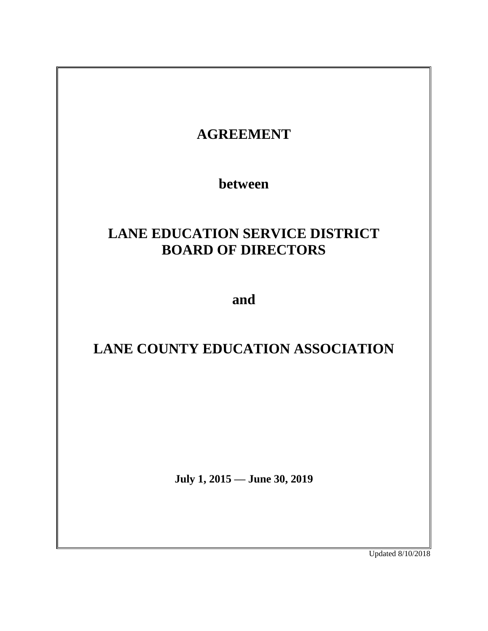

Updated 8/10/2018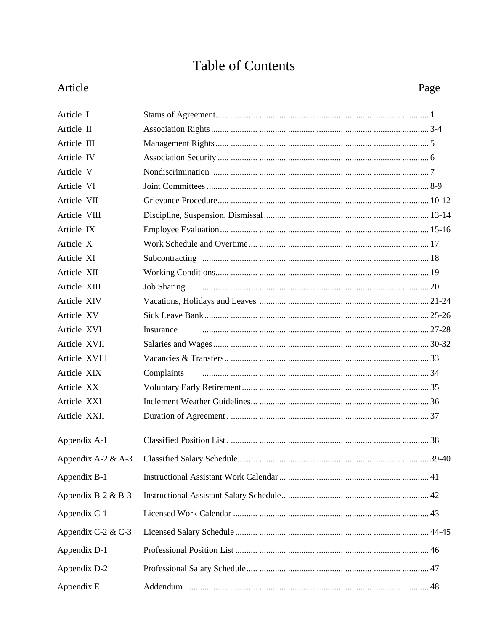# **Table of Contents**

| Article              |                    | Page |
|----------------------|--------------------|------|
| Article I            |                    |      |
| Article II           |                    |      |
| Article III          |                    |      |
| Article IV           |                    |      |
| Article V            |                    |      |
| Article VI           |                    |      |
| Article VII          |                    |      |
| Article VIII         |                    |      |
| Article IX           |                    |      |
| Article X            |                    |      |
| Article XI           |                    |      |
| Article XII          |                    |      |
| Article XIII         | <b>Job Sharing</b> |      |
| Article XIV          |                    |      |
| Article XV           |                    |      |
| Article XVI          | Insurance          |      |
| Article XVII         |                    |      |
| Article XVIII        |                    |      |
| Article XIX          | Complaints         |      |
| Article XX           |                    |      |
| Article XXI          |                    |      |
| Article XXII         |                    |      |
| Appendix A-1         |                    |      |
| Appendix A-2 & A-3   |                    |      |
| Appendix B-1         |                    |      |
| Appendix B-2 $&$ B-3 |                    |      |
| Appendix C-1         |                    |      |
| Appendix C-2 & C-3   |                    |      |
| Appendix D-1         |                    |      |
| Appendix D-2         |                    |      |
| Appendix E           |                    |      |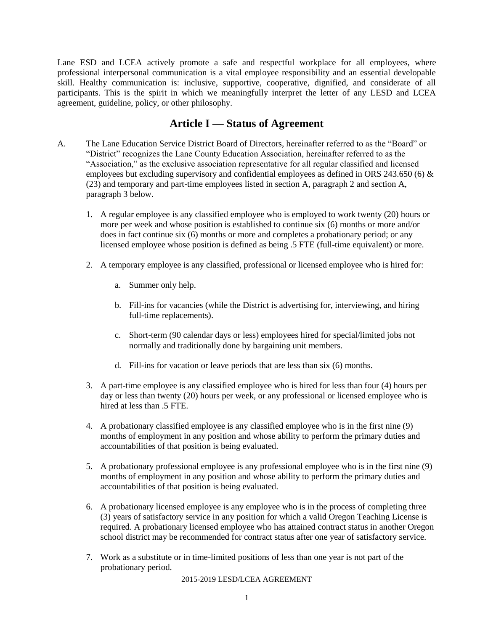Lane ESD and LCEA actively promote a safe and respectful workplace for all employees, where professional interpersonal communication is a vital employee responsibility and an essential developable skill. Healthy communication is: inclusive, supportive, cooperative, dignified, and considerate of all participants. This is the spirit in which we meaningfully interpret the letter of any LESD and LCEA agreement, guideline, policy, or other philosophy.

### **Article I — Status of Agreement**

- A. The Lane Education Service District Board of Directors, hereinafter referred to as the "Board" or "District" recognizes the Lane County Education Association, hereinafter referred to as the "Association," as the exclusive association representative for all regular classified and licensed employees but excluding supervisory and confidential employees as defined in ORS 243.650 (6)  $\&$ (23) and temporary and part-time employees listed in section A, paragraph 2 and section A, paragraph 3 below.
	- 1. A regular employee is any classified employee who is employed to work twenty (20) hours or more per week and whose position is established to continue six (6) months or more and/or does in fact continue six (6) months or more and completes a probationary period; or any licensed employee whose position is defined as being .5 FTE (full-time equivalent) or more.
	- 2. A temporary employee is any classified, professional or licensed employee who is hired for:
		- a. Summer only help.
		- b. Fill-ins for vacancies (while the District is advertising for, interviewing, and hiring full-time replacements).
		- c. Short-term (90 calendar days or less) employees hired for special/limited jobs not normally and traditionally done by bargaining unit members.
		- d. Fill-ins for vacation or leave periods that are less than six (6) months.
	- 3. A part-time employee is any classified employee who is hired for less than four (4) hours per day or less than twenty (20) hours per week, or any professional or licensed employee who is hired at less than 5 FTE.
	- 4. A probationary classified employee is any classified employee who is in the first nine (9) months of employment in any position and whose ability to perform the primary duties and accountabilities of that position is being evaluated.
	- 5. A probationary professional employee is any professional employee who is in the first nine (9) months of employment in any position and whose ability to perform the primary duties and accountabilities of that position is being evaluated.
	- 6. A probationary licensed employee is any employee who is in the process of completing three (3) years of satisfactory service in any position for which a valid Oregon Teaching License is required. A probationary licensed employee who has attained contract status in another Oregon school district may be recommended for contract status after one year of satisfactory service.
	- 7. Work as a substitute or in time-limited positions of less than one year is not part of the probationary period.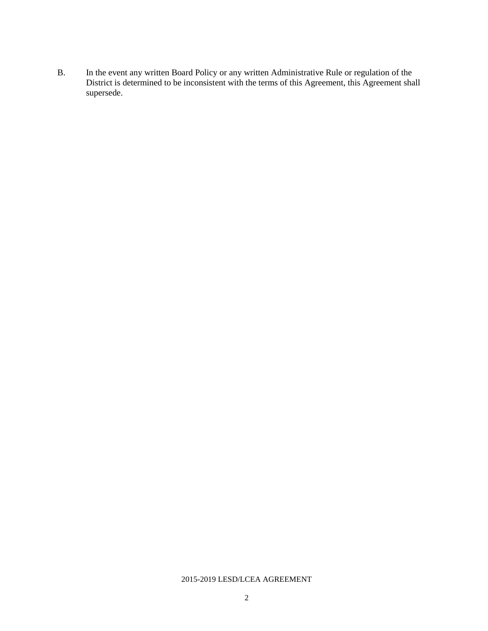B. In the event any written Board Policy or any written Administrative Rule or regulation of the District is determined to be inconsistent with the terms of this Agreement, this Agreement shall supersede.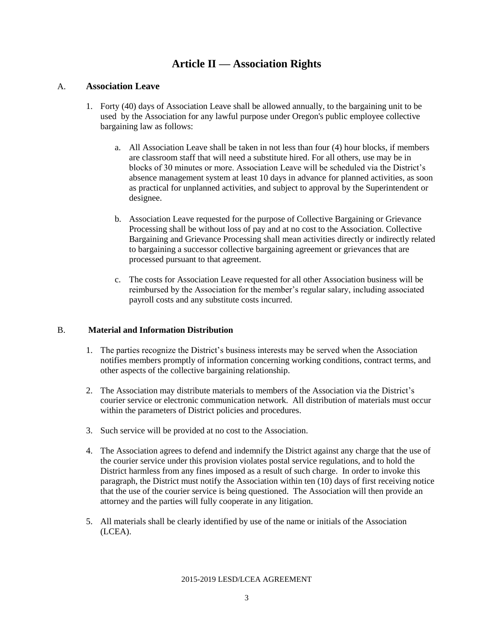### **Article II — Association Rights**

#### A. **Association Leave**

- 1. Forty (40) days of Association Leave shall be allowed annually, to the bargaining unit to be used by the Association for any lawful purpose under Oregon's public employee collective bargaining law as follows:
	- a. All Association Leave shall be taken in not less than four (4) hour blocks, if members are classroom staff that will need a substitute hired. For all others, use may be in blocks of 30 minutes or more. Association Leave will be scheduled via the District's absence management system at least 10 days in advance for planned activities, as soon as practical for unplanned activities, and subject to approval by the Superintendent or designee.
	- b. Association Leave requested for the purpose of Collective Bargaining or Grievance Processing shall be without loss of pay and at no cost to the Association. Collective Bargaining and Grievance Processing shall mean activities directly or indirectly related to bargaining a successor collective bargaining agreement or grievances that are processed pursuant to that agreement.
	- c. The costs for Association Leave requested for all other Association business will be reimbursed by the Association for the member's regular salary, including associated payroll costs and any substitute costs incurred.

#### B. **Material and Information Distribution**

- 1. The parties recognize the District's business interests may be served when the Association notifies members promptly of information concerning working conditions, contract terms, and other aspects of the collective bargaining relationship.
- 2. The Association may distribute materials to members of the Association via the District's courier service or electronic communication network. All distribution of materials must occur within the parameters of District policies and procedures.
- 3. Such service will be provided at no cost to the Association.
- 4. The Association agrees to defend and indemnify the District against any charge that the use of the courier service under this provision violates postal service regulations, and to hold the District harmless from any fines imposed as a result of such charge. In order to invoke this paragraph, the District must notify the Association within ten (10) days of first receiving notice that the use of the courier service is being questioned. The Association will then provide an attorney and the parties will fully cooperate in any litigation.
- 5. All materials shall be clearly identified by use of the name or initials of the Association (LCEA).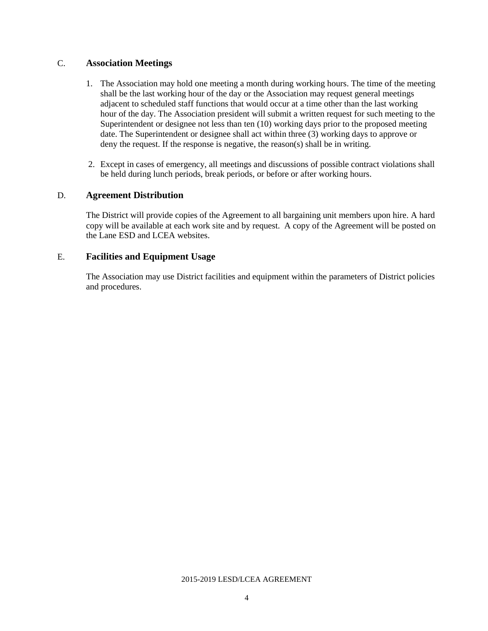#### C. **Association Meetings**

- 1. The Association may hold one meeting a month during working hours. The time of the meeting shall be the last working hour of the day or the Association may request general meetings adjacent to scheduled staff functions that would occur at a time other than the last working hour of the day. The Association president will submit a written request for such meeting to the Superintendent or designee not less than ten (10) working days prior to the proposed meeting date. The Superintendent or designee shall act within three (3) working days to approve or deny the request. If the response is negative, the reason(s) shall be in writing.
- 2. Except in cases of emergency, all meetings and discussions of possible contract violations shall be held during lunch periods, break periods, or before or after working hours.

#### D. **Agreement Distribution**

The District will provide copies of the Agreement to all bargaining unit members upon hire. A hard copy will be available at each work site and by request. A copy of the Agreement will be posted on the Lane ESD and LCEA websites.

#### E. **Facilities and Equipment Usage**

The Association may use District facilities and equipment within the parameters of District policies and procedures.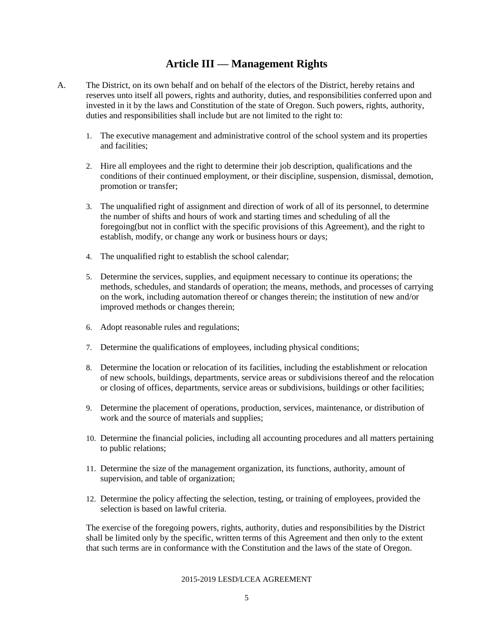### **Article III — Management Rights**

- A. The District, on its own behalf and on behalf of the electors of the District, hereby retains and reserves unto itself all powers, rights and authority, duties, and responsibilities conferred upon and invested in it by the laws and Constitution of the state of Oregon. Such powers, rights, authority, duties and responsibilities shall include but are not limited to the right to:
	- 1. The executive management and administrative control of the school system and its properties and facilities;
	- 2. Hire all employees and the right to determine their job description, qualifications and the conditions of their continued employment, or their discipline, suspension, dismissal, demotion, promotion or transfer;
	- 3. The unqualified right of assignment and direction of work of all of its personnel, to determine the number of shifts and hours of work and starting times and scheduling of all the foregoing(but not in conflict with the specific provisions of this Agreement), and the right to establish, modify, or change any work or business hours or days;
	- 4. The unqualified right to establish the school calendar;
	- 5. Determine the services, supplies, and equipment necessary to continue its operations; the methods, schedules, and standards of operation; the means, methods, and processes of carrying on the work, including automation thereof or changes therein; the institution of new and/or improved methods or changes therein;
	- 6. Adopt reasonable rules and regulations;
	- 7. Determine the qualifications of employees, including physical conditions;
	- 8. Determine the location or relocation of its facilities, including the establishment or relocation of new schools, buildings, departments, service areas or subdivisions thereof and the relocation or closing of offices, departments, service areas or subdivisions, buildings or other facilities;
	- 9. Determine the placement of operations, production, services, maintenance, or distribution of work and the source of materials and supplies;
	- 10. Determine the financial policies, including all accounting procedures and all matters pertaining to public relations;
	- 11. Determine the size of the management organization, its functions, authority, amount of supervision, and table of organization;
	- 12. Determine the policy affecting the selection, testing, or training of employees, provided the selection is based on lawful criteria.

The exercise of the foregoing powers, rights, authority, duties and responsibilities by the District shall be limited only by the specific, written terms of this Agreement and then only to the extent that such terms are in conformance with the Constitution and the laws of the state of Oregon.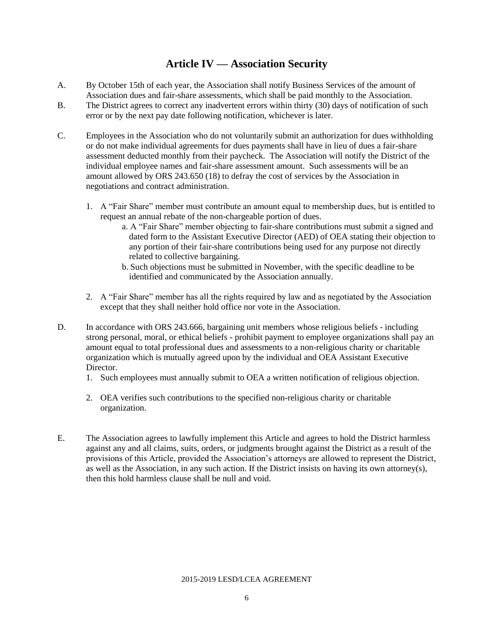### **Article IV — Association Security**

- A. By October 15th of each year, the Association shall notify Business Services of the amount of Association dues and fair-share assessments, which shall be paid monthly to the Association.
- B. The District agrees to correct any inadvertent errors within thirty (30) days of notification of such error or by the next pay date following notification, whichever is later.
- C. Employees in the Association who do not voluntarily submit an authorization for dues withholding or do not make individual agreements for dues payments shall have in lieu of dues a fair-share assessment deducted monthly from their paycheck. The Association will notify the District of the individual employee names and fair-share assessment amount. Such assessments will be an amount allowed by ORS 243.650 (18) to defray the cost of services by the Association in negotiations and contract administration.
	- 1. A "Fair Share" member must contribute an amount equal to membership dues, but is entitled to request an annual rebate of the non-chargeable portion of dues.
		- a. A "Fair Share" member objecting to fair-share contributions must submit a signed and dated form to the Assistant Executive Director (AED) of OEA stating their objection to any portion of their fair-share contributions being used for any purpose not directly related to collective bargaining.
		- b. Such objections must be submitted in November, with the specific deadline to be identified and communicated by the Association annually.
	- 2. A "Fair Share" member has all the rights required by law and as negotiated by the Association except that they shall neither hold office nor vote in the Association.
- D. In accordance with ORS 243.666, bargaining unit members whose religious beliefs including strong personal, moral, or ethical beliefs - prohibit payment to employee organizations shall pay an amount equal to total professional dues and assessments to a non-religious charity or charitable organization which is mutually agreed upon by the individual and OEA Assistant Executive Director.
	- 1. Such employees must annually submit to OEA a written notification of religious objection.
	- 2. OEA verifies such contributions to the specified non-religious charity or charitable organization.
- E. The Association agrees to lawfully implement this Article and agrees to hold the District harmless against any and all claims, suits, orders, or judgments brought against the District as a result of the provisions of this Article, provided the Association's attorneys are allowed to represent the District, as well as the Association, in any such action. If the District insists on having its own attorney(s), then this hold harmless clause shall be null and void.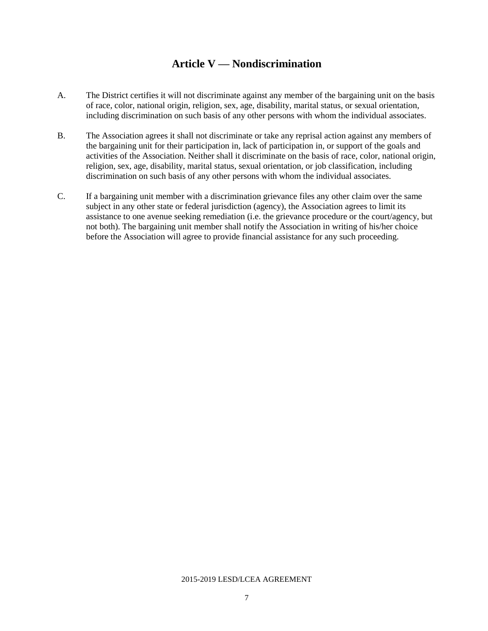# **Article V — Nondiscrimination**

- A. The District certifies it will not discriminate against any member of the bargaining unit on the basis of race, color, national origin, religion, sex, age, disability, marital status, or sexual orientation, including discrimination on such basis of any other persons with whom the individual associates.
- B. The Association agrees it shall not discriminate or take any reprisal action against any members of the bargaining unit for their participation in, lack of participation in, or support of the goals and activities of the Association. Neither shall it discriminate on the basis of race, color, national origin, religion, sex, age, disability, marital status, sexual orientation, or job classification, including discrimination on such basis of any other persons with whom the individual associates.
- C. If a bargaining unit member with a discrimination grievance files any other claim over the same subject in any other state or federal jurisdiction (agency), the Association agrees to limit its assistance to one avenue seeking remediation (i.e. the grievance procedure or the court/agency, but not both). The bargaining unit member shall notify the Association in writing of his/her choice before the Association will agree to provide financial assistance for any such proceeding.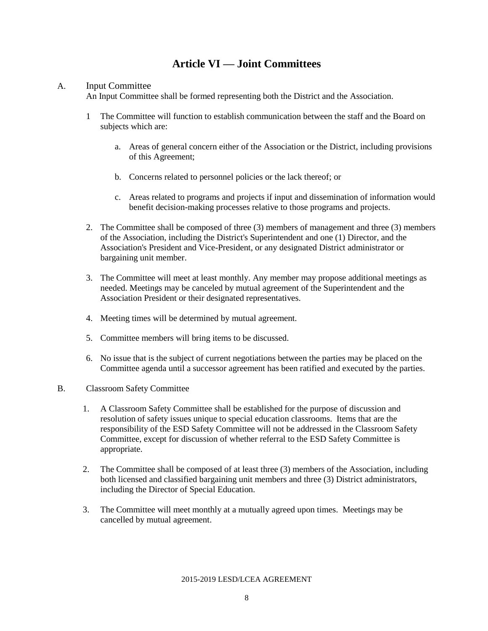### **Article VI — Joint Committees**

#### A. Input Committee

An Input Committee shall be formed representing both the District and the Association.

- 1 The Committee will function to establish communication between the staff and the Board on subjects which are:
	- a. Areas of general concern either of the Association or the District, including provisions of this Agreement;
	- b. Concerns related to personnel policies or the lack thereof; or
	- c. Areas related to programs and projects if input and dissemination of information would benefit decision-making processes relative to those programs and projects.
- 2. The Committee shall be composed of three (3) members of management and three (3) members of the Association, including the District's Superintendent and one (1) Director, and the Association's President and Vice-President, or any designated District administrator or bargaining unit member.
- 3. The Committee will meet at least monthly. Any member may propose additional meetings as needed. Meetings may be canceled by mutual agreement of the Superintendent and the Association President or their designated representatives.
- 4. Meeting times will be determined by mutual agreement.
- 5. Committee members will bring items to be discussed.
- 6. No issue that is the subject of current negotiations between the parties may be placed on the Committee agenda until a successor agreement has been ratified and executed by the parties.
- B. Classroom Safety Committee
	- 1. A Classroom Safety Committee shall be established for the purpose of discussion and resolution of safety issues unique to special education classrooms. Items that are the responsibility of the ESD Safety Committee will not be addressed in the Classroom Safety Committee, except for discussion of whether referral to the ESD Safety Committee is appropriate.
	- 2. The Committee shall be composed of at least three (3) members of the Association, including both licensed and classified bargaining unit members and three (3) District administrators, including the Director of Special Education.
	- 3. The Committee will meet monthly at a mutually agreed upon times. Meetings may be cancelled by mutual agreement.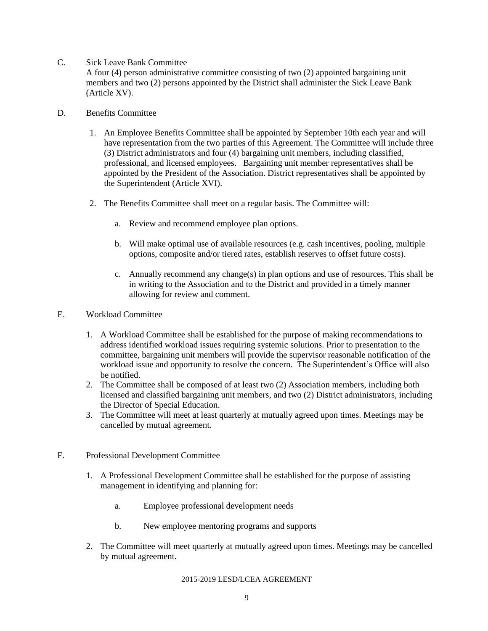C. Sick Leave Bank Committee

A four (4) person administrative committee consisting of two (2) appointed bargaining unit members and two (2) persons appointed by the District shall administer the Sick Leave Bank (Article XV).

- D. Benefits Committee
	- 1. An Employee Benefits Committee shall be appointed by September 10th each year and will have representation from the two parties of this Agreement. The Committee will include three (3) District administrators and four (4) bargaining unit members, including classified, professional, and licensed employees. Bargaining unit member representatives shall be appointed by the President of the Association. District representatives shall be appointed by the Superintendent (Article XVI).
	- 2. The Benefits Committee shall meet on a regular basis. The Committee will:
		- a. Review and recommend employee plan options.
		- b. Will make optimal use of available resources (e.g. cash incentives, pooling, multiple options, composite and/or tiered rates, establish reserves to offset future costs).
		- c. Annually recommend any change(s) in plan options and use of resources. This shall be in writing to the Association and to the District and provided in a timely manner allowing for review and comment.
- E. Workload Committee
	- 1. A Workload Committee shall be established for the purpose of making recommendations to address identified workload issues requiring systemic solutions. Prior to presentation to the committee, bargaining unit members will provide the supervisor reasonable notification of the workload issue and opportunity to resolve the concern. The Superintendent's Office will also be notified.
	- 2. The Committee shall be composed of at least two (2) Association members, including both licensed and classified bargaining unit members, and two (2) District administrators, including the Director of Special Education.
	- 3. The Committee will meet at least quarterly at mutually agreed upon times. Meetings may be cancelled by mutual agreement.
- F. Professional Development Committee
	- 1. A Professional Development Committee shall be established for the purpose of assisting management in identifying and planning for:
		- a. Employee professional development needs
		- b. New employee mentoring programs and supports
	- 2. The Committee will meet quarterly at mutually agreed upon times. Meetings may be cancelled by mutual agreement.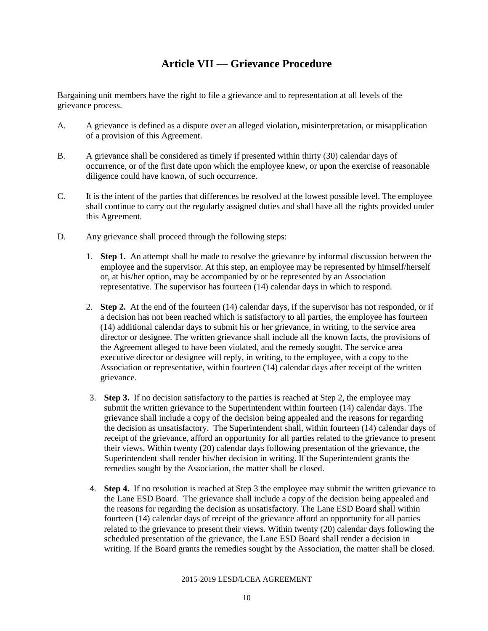# **Article VII — Grievance Procedure**

Bargaining unit members have the right to file a grievance and to representation at all levels of the grievance process.

- A. A grievance is defined as a dispute over an alleged violation, misinterpretation, or misapplication of a provision of this Agreement.
- B. A grievance shall be considered as timely if presented within thirty (30) calendar days of occurrence, or of the first date upon which the employee knew, or upon the exercise of reasonable diligence could have known, of such occurrence.
- C. It is the intent of the parties that differences be resolved at the lowest possible level. The employee shall continue to carry out the regularly assigned duties and shall have all the rights provided under this Agreement.
- D. Any grievance shall proceed through the following steps:
	- 1. **Step 1.** An attempt shall be made to resolve the grievance by informal discussion between the employee and the supervisor. At this step, an employee may be represented by himself/herself or, at his/her option, may be accompanied by or be represented by an Association representative. The supervisor has fourteen (14) calendar days in which to respond.
	- 2. **Step 2.** At the end of the fourteen (14) calendar days, if the supervisor has not responded, or if a decision has not been reached which is satisfactory to all parties, the employee has fourteen (14) additional calendar days to submit his or her grievance, in writing, to the service area director or designee. The written grievance shall include all the known facts, the provisions of the Agreement alleged to have been violated, and the remedy sought. The service area executive director or designee will reply, in writing, to the employee, with a copy to the Association or representative, within fourteen (14) calendar days after receipt of the written grievance.
	- 3. **Step 3.** If no decision satisfactory to the parties is reached at Step 2, the employee may submit the written grievance to the Superintendent within fourteen (14) calendar days. The grievance shall include a copy of the decision being appealed and the reasons for regarding the decision as unsatisfactory. The Superintendent shall, within fourteen (14) calendar days of receipt of the grievance, afford an opportunity for all parties related to the grievance to present their views. Within twenty (20) calendar days following presentation of the grievance, the Superintendent shall render his/her decision in writing. If the Superintendent grants the remedies sought by the Association, the matter shall be closed.
	- 4. **Step 4.** If no resolution is reached at Step 3 the employee may submit the written grievance to the Lane ESD Board. The grievance shall include a copy of the decision being appealed and the reasons for regarding the decision as unsatisfactory. The Lane ESD Board shall within fourteen (14) calendar days of receipt of the grievance afford an opportunity for all parties related to the grievance to present their views. Within twenty (20) calendar days following the scheduled presentation of the grievance, the Lane ESD Board shall render a decision in writing. If the Board grants the remedies sought by the Association, the matter shall be closed.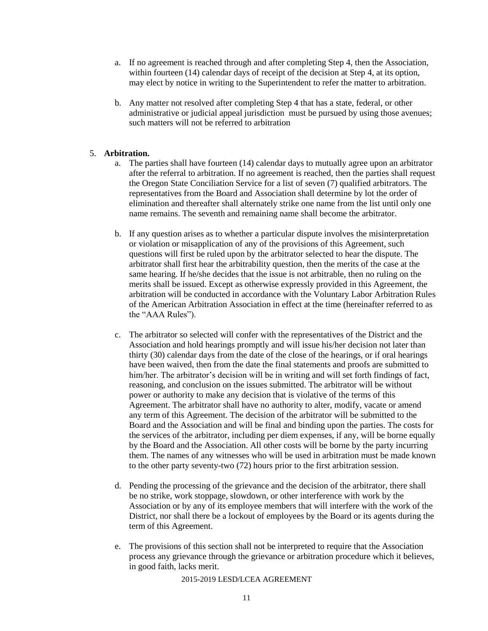- a. If no agreement is reached through and after completing Step 4, then the Association, within fourteen (14) calendar days of receipt of the decision at Step 4, at its option, may elect by notice in writing to the Superintendent to refer the matter to arbitration.
- b. Any matter not resolved after completing Step 4 that has a state, federal, or other administrative or judicial appeal jurisdiction must be pursued by using those avenues; such matters will not be referred to arbitration

#### 5. **Arbitration.**

- a. The parties shall have fourteen (14) calendar days to mutually agree upon an arbitrator after the referral to arbitration. If no agreement is reached, then the parties shall request the Oregon State Conciliation Service for a list of seven (7) qualified arbitrators. The representatives from the Board and Association shall determine by lot the order of elimination and thereafter shall alternately strike one name from the list until only one name remains. The seventh and remaining name shall become the arbitrator.
- b. If any question arises as to whether a particular dispute involves the misinterpretation or violation or misapplication of any of the provisions of this Agreement, such questions will first be ruled upon by the arbitrator selected to hear the dispute. The arbitrator shall first hear the arbitrability question, then the merits of the case at the same hearing. If he/she decides that the issue is not arbitrable, then no ruling on the merits shall be issued. Except as otherwise expressly provided in this Agreement, the arbitration will be conducted in accordance with the Voluntary Labor Arbitration Rules of the American Arbitration Association in effect at the time (hereinafter referred to as the "AAA Rules").
- c. The arbitrator so selected will confer with the representatives of the District and the Association and hold hearings promptly and will issue his/her decision not later than thirty (30) calendar days from the date of the close of the hearings, or if oral hearings have been waived, then from the date the final statements and proofs are submitted to him/her. The arbitrator's decision will be in writing and will set forth findings of fact, reasoning, and conclusion on the issues submitted. The arbitrator will be without power or authority to make any decision that is violative of the terms of this Agreement. The arbitrator shall have no authority to alter, modify, vacate or amend any term of this Agreement. The decision of the arbitrator will be submitted to the Board and the Association and will be final and binding upon the parties. The costs for the services of the arbitrator, including per diem expenses, if any, will be borne equally by the Board and the Association. All other costs will be borne by the party incurring them. The names of any witnesses who will be used in arbitration must be made known to the other party seventy-two (72) hours prior to the first arbitration session.
- d. Pending the processing of the grievance and the decision of the arbitrator, there shall be no strike, work stoppage, slowdown, or other interference with work by the Association or by any of its employee members that will interfere with the work of the District, nor shall there be a lockout of employees by the Board or its agents during the term of this Agreement.
- e. The provisions of this section shall not be interpreted to require that the Association process any grievance through the grievance or arbitration procedure which it believes, in good faith, lacks merit.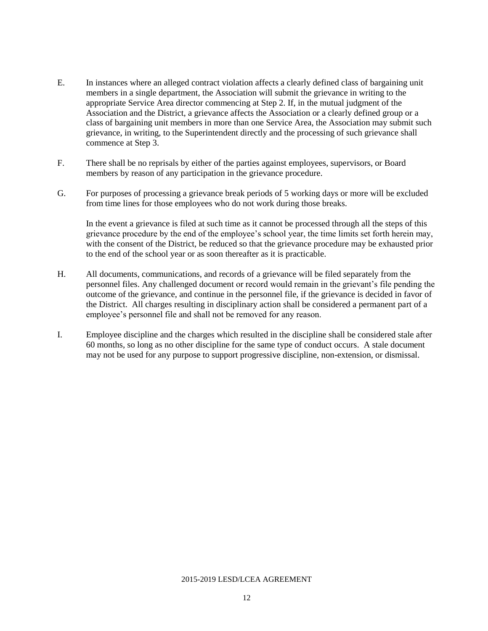- E. In instances where an alleged contract violation affects a clearly defined class of bargaining unit members in a single department, the Association will submit the grievance in writing to the appropriate Service Area director commencing at Step 2. If, in the mutual judgment of the Association and the District, a grievance affects the Association or a clearly defined group or a class of bargaining unit members in more than one Service Area, the Association may submit such grievance, in writing, to the Superintendent directly and the processing of such grievance shall commence at Step 3.
- F. There shall be no reprisals by either of the parties against employees, supervisors, or Board members by reason of any participation in the grievance procedure.
- G. For purposes of processing a grievance break periods of 5 working days or more will be excluded from time lines for those employees who do not work during those breaks.

In the event a grievance is filed at such time as it cannot be processed through all the steps of this grievance procedure by the end of the employee's school year, the time limits set forth herein may, with the consent of the District, be reduced so that the grievance procedure may be exhausted prior to the end of the school year or as soon thereafter as it is practicable.

- H. All documents, communications, and records of a grievance will be filed separately from the personnel files. Any challenged document or record would remain in the grievant's file pending the outcome of the grievance, and continue in the personnel file, if the grievance is decided in favor of the District. All charges resulting in disciplinary action shall be considered a permanent part of a employee's personnel file and shall not be removed for any reason.
- I. Employee discipline and the charges which resulted in the discipline shall be considered stale after 60 months, so long as no other discipline for the same type of conduct occurs. A stale document may not be used for any purpose to support progressive discipline, non-extension, or dismissal.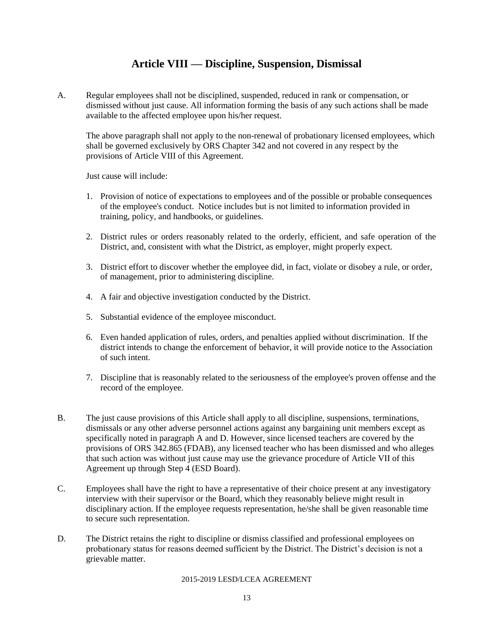### **Article VIII — Discipline, Suspension, Dismissal**

A. Regular employees shall not be disciplined, suspended, reduced in rank or compensation, or dismissed without just cause. All information forming the basis of any such actions shall be made available to the affected employee upon his/her request.

The above paragraph shall not apply to the non-renewal of probationary licensed employees, which shall be governed exclusively by ORS Chapter 342 and not covered in any respect by the provisions of Article VIII of this Agreement.

Just cause will include:

- 1. Provision of notice of expectations to employees and of the possible or probable consequences of the employee's conduct. Notice includes but is not limited to information provided in training, policy, and handbooks, or guidelines.
- 2. District rules or orders reasonably related to the orderly, efficient, and safe operation of the District, and, consistent with what the District, as employer, might properly expect.
- 3. District effort to discover whether the employee did, in fact, violate or disobey a rule, or order, of management, prior to administering discipline.
- 4. A fair and objective investigation conducted by the District.
- 5. Substantial evidence of the employee misconduct.
- 6. Even handed application of rules, orders, and penalties applied without discrimination. If the district intends to change the enforcement of behavior, it will provide notice to the Association of such intent.
- 7. Discipline that is reasonably related to the seriousness of the employee's proven offense and the record of the employee.
- B. The just cause provisions of this Article shall apply to all discipline, suspensions, terminations, dismissals or any other adverse personnel actions against any bargaining unit members except as specifically noted in paragraph A and D. However, since licensed teachers are covered by the provisions of ORS 342.865 (FDAB), any licensed teacher who has been dismissed and who alleges that such action was without just cause may use the grievance procedure of Article VII of this Agreement up through Step 4 (ESD Board).
- C. Employees shall have the right to have a representative of their choice present at any investigatory interview with their supervisor or the Board, which they reasonably believe might result in disciplinary action. If the employee requests representation, he/she shall be given reasonable time to secure such representation.
- D. The District retains the right to discipline or dismiss classified and professional employees on probationary status for reasons deemed sufficient by the District. The District's decision is not a grievable matter.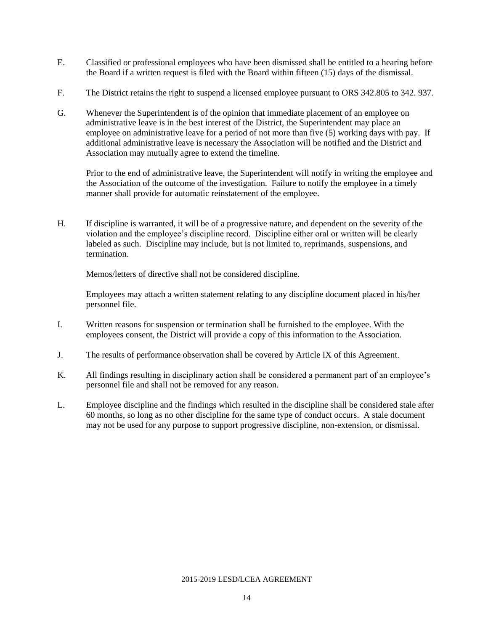- E. Classified or professional employees who have been dismissed shall be entitled to a hearing before the Board if a written request is filed with the Board within fifteen (15) days of the dismissal.
- F. The District retains the right to suspend a licensed employee pursuant to ORS 342.805 to 342. 937.
- G. Whenever the Superintendent is of the opinion that immediate placement of an employee on administrative leave is in the best interest of the District, the Superintendent may place an employee on administrative leave for a period of not more than five (5) working days with pay. If additional administrative leave is necessary the Association will be notified and the District and Association may mutually agree to extend the timeline.

Prior to the end of administrative leave, the Superintendent will notify in writing the employee and the Association of the outcome of the investigation. Failure to notify the employee in a timely manner shall provide for automatic reinstatement of the employee.

H. If discipline is warranted, it will be of a progressive nature, and dependent on the severity of the violation and the employee's discipline record. Discipline either oral or written will be clearly labeled as such. Discipline may include, but is not limited to, reprimands, suspensions, and termination.

Memos/letters of directive shall not be considered discipline.

Employees may attach a written statement relating to any discipline document placed in his/her personnel file.

- I. Written reasons for suspension or termination shall be furnished to the employee. With the employees consent, the District will provide a copy of this information to the Association.
- J. The results of performance observation shall be covered by Article IX of this Agreement.
- K. All findings resulting in disciplinary action shall be considered a permanent part of an employee's personnel file and shall not be removed for any reason.
- L. Employee discipline and the findings which resulted in the discipline shall be considered stale after 60 months, so long as no other discipline for the same type of conduct occurs. A stale document may not be used for any purpose to support progressive discipline, non-extension, or dismissal.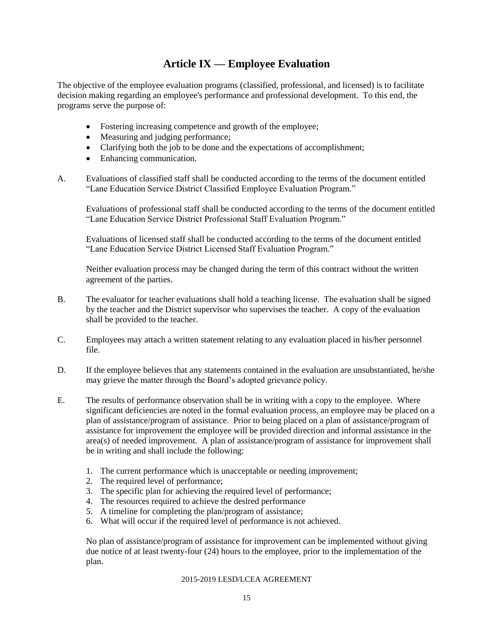### **Article IX — Employee Evaluation**

The objective of the employee evaluation programs (classified, professional, and licensed) is to facilitate decision making regarding an employee's performance and professional development. To this end, the programs serve the purpose of:

- Fostering increasing competence and growth of the employee;
- Measuring and judging performance;
- Clarifying both the job to be done and the expectations of accomplishment;
- Enhancing communication.
- A. Evaluations of classified staff shall be conducted according to the terms of the document entitled "Lane Education Service District Classified Employee Evaluation Program."

Evaluations of professional staff shall be conducted according to the terms of the document entitled "Lane Education Service District Professional Staff Evaluation Program."

Evaluations of licensed staff shall be conducted according to the terms of the document entitled "Lane Education Service District Licensed Staff Evaluation Program."

Neither evaluation process may be changed during the term of this contract without the written agreement of the parties.

- B. The evaluator for teacher evaluations shall hold a teaching license. The evaluation shall be signed by the teacher and the District supervisor who supervises the teacher. A copy of the evaluation shall be provided to the teacher.
- C. Employees may attach a written statement relating to any evaluation placed in his/her personnel file.
- D. If the employee believes that any statements contained in the evaluation are unsubstantiated, he/she may grieve the matter through the Board's adopted grievance policy.
- E. The results of performance observation shall be in writing with a copy to the employee. Where significant deficiencies are noted in the formal evaluation process, an employee may be placed on a plan of assistance/program of assistance. Prior to being placed on a plan of assistance/program of assistance for improvement the employee will be provided direction and informal assistance in the area(s) of needed improvement. A plan of assistance/program of assistance for improvement shall be in writing and shall include the following:
	- 1. The current performance which is unacceptable or needing improvement;
	- 2. The required level of performance;
	- 3. The specific plan for achieving the required level of performance;
	- 4. The resources required to achieve the desired performance
	- 5. A timeline for completing the plan/program of assistance;
	- 6. What will occur if the required level of performance is not achieved.

No plan of assistance/program of assistance for improvement can be implemented without giving due notice of at least twenty-four (24) hours to the employee, prior to the implementation of the plan.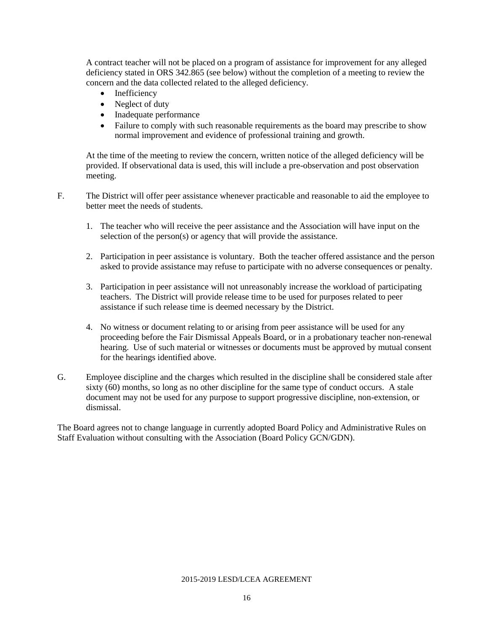A contract teacher will not be placed on a program of assistance for improvement for any alleged deficiency stated in ORS 342.865 (see below) without the completion of a meeting to review the concern and the data collected related to the alleged deficiency.

- Inefficiency
- Neglect of duty
- Inadequate performance
- Failure to comply with such reasonable requirements as the board may prescribe to show normal improvement and evidence of professional training and growth.

At the time of the meeting to review the concern, written notice of the alleged deficiency will be provided. If observational data is used, this will include a pre-observation and post observation meeting.

F. The District will offer peer assistance whenever practicable and reasonable to aid the employee to better meet the needs of students.

- 1. The teacher who will receive the peer assistance and the Association will have input on the selection of the person(s) or agency that will provide the assistance.
- 2. Participation in peer assistance is voluntary. Both the teacher offered assistance and the person asked to provide assistance may refuse to participate with no adverse consequences or penalty.
- 3. Participation in peer assistance will not unreasonably increase the workload of participating teachers. The District will provide release time to be used for purposes related to peer assistance if such release time is deemed necessary by the District.
- 4. No witness or document relating to or arising from peer assistance will be used for any proceeding before the Fair Dismissal Appeals Board, or in a probationary teacher non-renewal hearing. Use of such material or witnesses or documents must be approved by mutual consent for the hearings identified above.
- G. Employee discipline and the charges which resulted in the discipline shall be considered stale after sixty (60) months, so long as no other discipline for the same type of conduct occurs. A stale document may not be used for any purpose to support progressive discipline, non-extension, or dismissal.

The Board agrees not to change language in currently adopted Board Policy and Administrative Rules on Staff Evaluation without consulting with the Association (Board Policy GCN/GDN).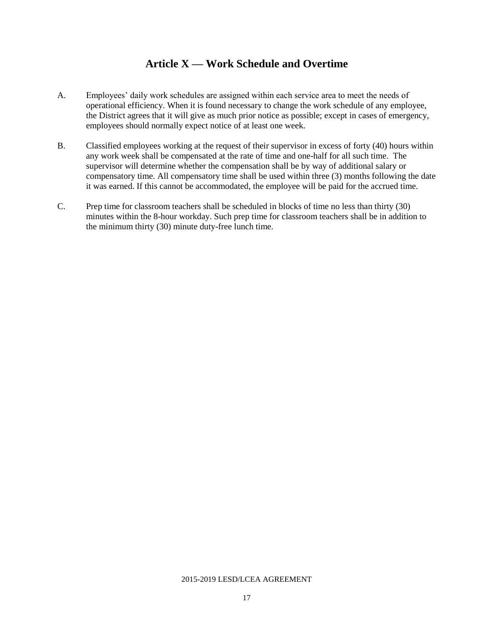### **Article X — Work Schedule and Overtime**

- A. Employees' daily work schedules are assigned within each service area to meet the needs of operational efficiency. When it is found necessary to change the work schedule of any employee, the District agrees that it will give as much prior notice as possible; except in cases of emergency, employees should normally expect notice of at least one week.
- B. Classified employees working at the request of their supervisor in excess of forty (40) hours within any work week shall be compensated at the rate of time and one-half for all such time. The supervisor will determine whether the compensation shall be by way of additional salary or compensatory time. All compensatory time shall be used within three (3) months following the date it was earned. If this cannot be accommodated, the employee will be paid for the accrued time.
- C. Prep time for classroom teachers shall be scheduled in blocks of time no less than thirty (30) minutes within the 8-hour workday. Such prep time for classroom teachers shall be in addition to the minimum thirty (30) minute duty-free lunch time.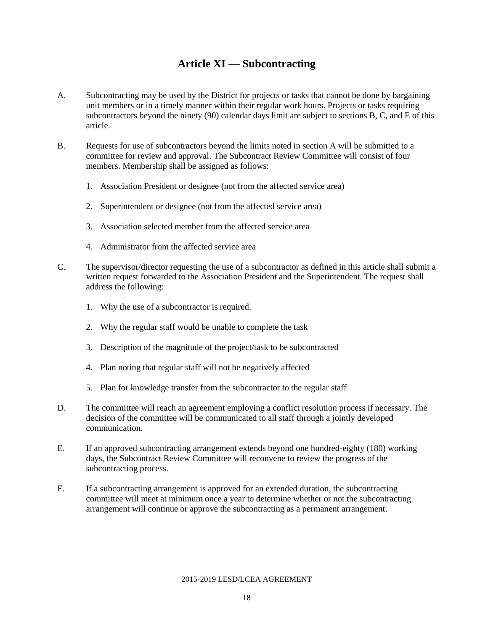# **Article XI — Subcontracting**

- A. Subcontracting may be used by the District for projects or tasks that cannot be done by bargaining unit members or in a timely manner within their regular work hours. Projects or tasks requiring subcontractors beyond the ninety (90) calendar days limit are subject to sections B, C, and E of this article.
- B. Requests for use of subcontractors beyond the limits noted in section A will be submitted to a committee for review and approval. The Subcontract Review Committee will consist of four members. Membership shall be assigned as follows:
	- 1. Association President or designee (not from the affected service area)
	- 2. Superintendent or designee (not from the affected service area)
	- 3. Association selected member from the affected service area
	- 4. Administrator from the affected service area
- C. The supervisor/director requesting the use of a subcontractor as defined in this article shall submit a written request forwarded to the Association President and the Superintendent. The request shall address the following:
	- 1. Why the use of a subcontractor is required.
	- 2. Why the regular staff would be unable to complete the task
	- 3. Description of the magnitude of the project/task to be subcontracted
	- 4. Plan noting that regular staff will not be negatively affected
	- 5. Plan for knowledge transfer from the subcontractor to the regular staff
- D. The committee will reach an agreement employing a conflict resolution process if necessary. The decision of the committee will be communicated to all staff through a jointly developed communication.
- E. If an approved subcontracting arrangement extends beyond one hundred-eighty (180) working days, the Subcontract Review Committee will reconvene to review the progress of the subcontracting process.
- F. If a subcontracting arrangement is approved for an extended duration, the subcontracting committee will meet at minimum once a year to determine whether or not the subcontracting arrangement will continue or approve the subcontracting as a permanent arrangement.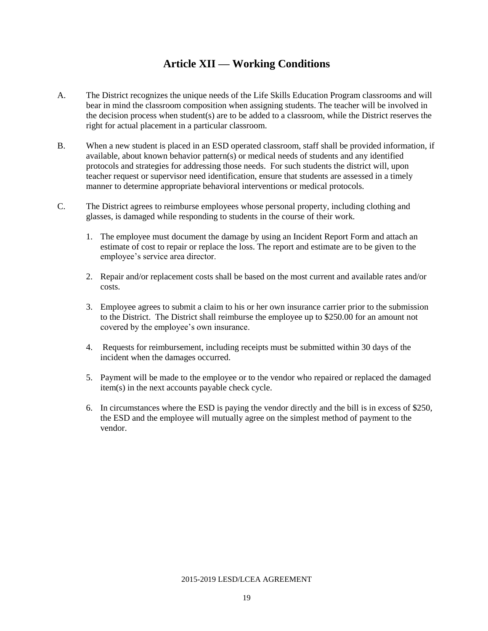### **Article XII — Working Conditions**

- A. The District recognizes the unique needs of the Life Skills Education Program classrooms and will bear in mind the classroom composition when assigning students. The teacher will be involved in the decision process when student(s) are to be added to a classroom, while the District reserves the right for actual placement in a particular classroom.
- B. When a new student is placed in an ESD operated classroom, staff shall be provided information, if available, about known behavior pattern(s) or medical needs of students and any identified protocols and strategies for addressing those needs. For such students the district will, upon teacher request or supervisor need identification, ensure that students are assessed in a timely manner to determine appropriate behavioral interventions or medical protocols.
- C. The District agrees to reimburse employees whose personal property, including clothing and glasses, is damaged while responding to students in the course of their work.
	- 1. The employee must document the damage by using an Incident Report Form and attach an estimate of cost to repair or replace the loss. The report and estimate are to be given to the employee's service area director.
	- 2. Repair and/or replacement costs shall be based on the most current and available rates and/or costs.
	- 3. Employee agrees to submit a claim to his or her own insurance carrier prior to the submission to the District. The District shall reimburse the employee up to \$250.00 for an amount not covered by the employee's own insurance.
	- 4. Requests for reimbursement, including receipts must be submitted within 30 days of the incident when the damages occurred.
	- 5. Payment will be made to the employee or to the vendor who repaired or replaced the damaged item(s) in the next accounts payable check cycle.
	- 6. In circumstances where the ESD is paying the vendor directly and the bill is in excess of \$250, the ESD and the employee will mutually agree on the simplest method of payment to the vendor.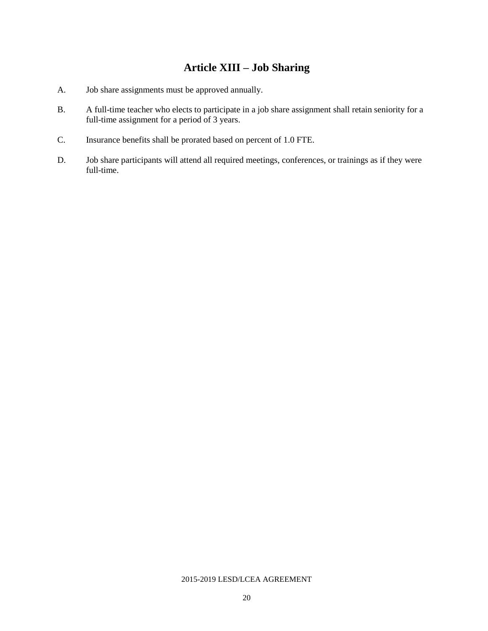# **Article XIII – Job Sharing**

- A. Job share assignments must be approved annually.
- B. A full-time teacher who elects to participate in a job share assignment shall retain seniority for a full-time assignment for a period of 3 years.
- C. Insurance benefits shall be prorated based on percent of 1.0 FTE.
- D. Job share participants will attend all required meetings, conferences, or trainings as if they were full-time.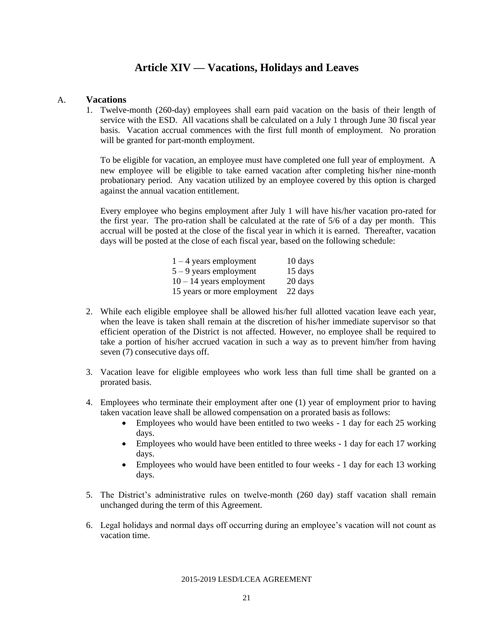### **Article XIV — Vacations, Holidays and Leaves**

#### A. **Vacations**

1. Twelve-month (260-day) employees shall earn paid vacation on the basis of their length of service with the ESD. All vacations shall be calculated on a July 1 through June 30 fiscal year basis. Vacation accrual commences with the first full month of employment. No proration will be granted for part-month employment.

To be eligible for vacation, an employee must have completed one full year of employment. A new employee will be eligible to take earned vacation after completing his/her nine-month probationary period. Any vacation utilized by an employee covered by this option is charged against the annual vacation entitlement.

Every employee who begins employment after July 1 will have his/her vacation pro-rated for the first year. The pro-ration shall be calculated at the rate of 5/6 of a day per month. This accrual will be posted at the close of the fiscal year in which it is earned. Thereafter, vacation days will be posted at the close of each fiscal year, based on the following schedule:

| $1 - 4$ years employment    | 10 days |
|-----------------------------|---------|
| $5 - 9$ years employment    | 15 days |
| $10 - 14$ years employment  | 20 days |
| 15 years or more employment | 22 days |

- 2. While each eligible employee shall be allowed his/her full allotted vacation leave each year, when the leave is taken shall remain at the discretion of his/her immediate supervisor so that efficient operation of the District is not affected. However, no employee shall be required to take a portion of his/her accrued vacation in such a way as to prevent him/her from having seven (7) consecutive days off.
- 3. Vacation leave for eligible employees who work less than full time shall be granted on a prorated basis.
- 4. Employees who terminate their employment after one (1) year of employment prior to having taken vacation leave shall be allowed compensation on a prorated basis as follows:
	- Employees who would have been entitled to two weeks 1 day for each 25 working days.
	- Employees who would have been entitled to three weeks 1 day for each 17 working days.
	- Employees who would have been entitled to four weeks 1 day for each 13 working days.
- 5. The District's administrative rules on twelve-month (260 day) staff vacation shall remain unchanged during the term of this Agreement.
- 6. Legal holidays and normal days off occurring during an employee's vacation will not count as vacation time.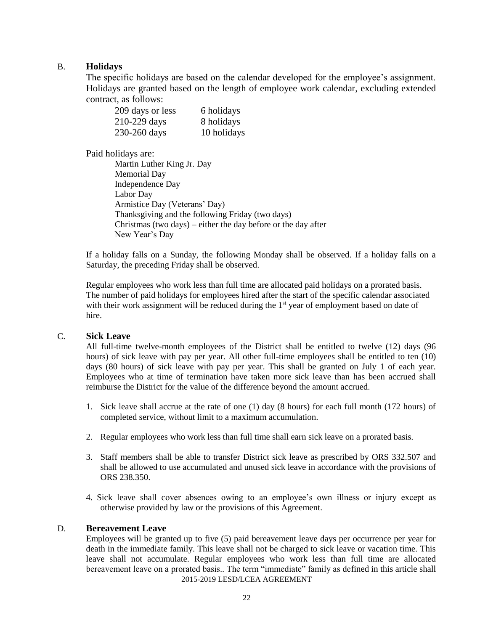#### B. **Holidays**

The specific holidays are based on the calendar developed for the employee's assignment. Holidays are granted based on the length of employee work calendar, excluding extended contract, as follows:

| 209 days or less | 6 holidays  |
|------------------|-------------|
| 210-229 days     | 8 holidays  |
| 230-260 days     | 10 holidays |

Paid holidays are:

Martin Luther King Jr. Day Memorial Day Independence Day Labor Day Armistice Day (Veterans' Day) Thanksgiving and the following Friday (two days) Christmas (two days) – either the day before or the day after New Year's Day

If a holiday falls on a Sunday, the following Monday shall be observed. If a holiday falls on a Saturday, the preceding Friday shall be observed.

Regular employees who work less than full time are allocated paid holidays on a prorated basis. The number of paid holidays for employees hired after the start of the specific calendar associated with their work assignment will be reduced during the  $1<sup>st</sup>$  year of employment based on date of hire.

#### C. **Sick Leave**

All full-time twelve-month employees of the District shall be entitled to twelve (12) days (96 hours) of sick leave with pay per year. All other full-time employees shall be entitled to ten (10) days (80 hours) of sick leave with pay per year. This shall be granted on July 1 of each year. Employees who at time of termination have taken more sick leave than has been accrued shall reimburse the District for the value of the difference beyond the amount accrued.

- 1. Sick leave shall accrue at the rate of one (1) day (8 hours) for each full month (172 hours) of completed service, without limit to a maximum accumulation.
- 2. Regular employees who work less than full time shall earn sick leave on a prorated basis.
- 3. Staff members shall be able to transfer District sick leave as prescribed by ORS 332.507 and shall be allowed to use accumulated and unused sick leave in accordance with the provisions of ORS 238.350.
- 4. Sick leave shall cover absences owing to an employee's own illness or injury except as otherwise provided by law or the provisions of this Agreement.

#### D. **Bereavement Leave**

2015-2019 LESD/LCEA AGREEMENT Employees will be granted up to five (5) paid bereavement leave days per occurrence per year for death in the immediate family. This leave shall not be charged to sick leave or vacation time. This leave shall not accumulate. Regular employees who work less than full time are allocated bereavement leave on a prorated basis.. The term "immediate" family as defined in this article shall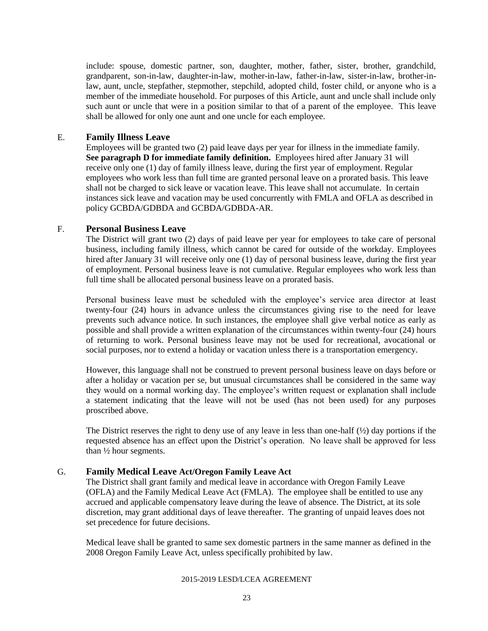include: spouse, domestic partner, son, daughter, mother, father, sister, brother, grandchild, grandparent, son-in-law, daughter-in-law, mother-in-law, father-in-law, sister-in-law, brother-inlaw, aunt, uncle, stepfather, stepmother, stepchild, adopted child, foster child, or anyone who is a member of the immediate household. For purposes of this Article, aunt and uncle shall include only such aunt or uncle that were in a position similar to that of a parent of the employee. This leave shall be allowed for only one aunt and one uncle for each employee.

#### E. **Family Illness Leave**

Employees will be granted two (2) paid leave days per year for illness in the immediate family. **See paragraph D for immediate family definition.** Employees hired after January 31 will receive only one (1) day of family illness leave, during the first year of employment. Regular employees who work less than full time are granted personal leave on a prorated basis. This leave shall not be charged to sick leave or vacation leave. This leave shall not accumulate. In certain instances sick leave and vacation may be used concurrently with FMLA and OFLA as described in policy GCBDA/GDBDA and GCBDA/GDBDA-AR.

#### F. **Personal Business Leave**

The District will grant two (2) days of paid leave per year for employees to take care of personal business, including family illness, which cannot be cared for outside of the workday. Employees hired after January 31 will receive only one (1) day of personal business leave, during the first year of employment. Personal business leave is not cumulative. Regular employees who work less than full time shall be allocated personal business leave on a prorated basis.

Personal business leave must be scheduled with the employee's service area director at least twenty-four (24) hours in advance unless the circumstances giving rise to the need for leave prevents such advance notice. In such instances, the employee shall give verbal notice as early as possible and shall provide a written explanation of the circumstances within twenty-four (24) hours of returning to work. Personal business leave may not be used for recreational, avocational or social purposes, nor to extend a holiday or vacation unless there is a transportation emergency.

However, this language shall not be construed to prevent personal business leave on days before or after a holiday or vacation per se, but unusual circumstances shall be considered in the same way they would on a normal working day. The employee's written request or explanation shall include a statement indicating that the leave will not be used (has not been used) for any purposes proscribed above.

The District reserves the right to deny use of any leave in less than one-half (½) day portions if the requested absence has an effect upon the District's operation. No leave shall be approved for less than ½ hour segments.

#### G. **Family Medical Leave Act/Oregon Family Leave Act**

The District shall grant family and medical leave in accordance with Oregon Family Leave (OFLA) and the Family Medical Leave Act (FMLA). The employee shall be entitled to use any accrued and applicable compensatory leave during the leave of absence. The District, at its sole discretion, may grant additional days of leave thereafter. The granting of unpaid leaves does not set precedence for future decisions.

Medical leave shall be granted to same sex domestic partners in the same manner as defined in the 2008 Oregon Family Leave Act, unless specifically prohibited by law.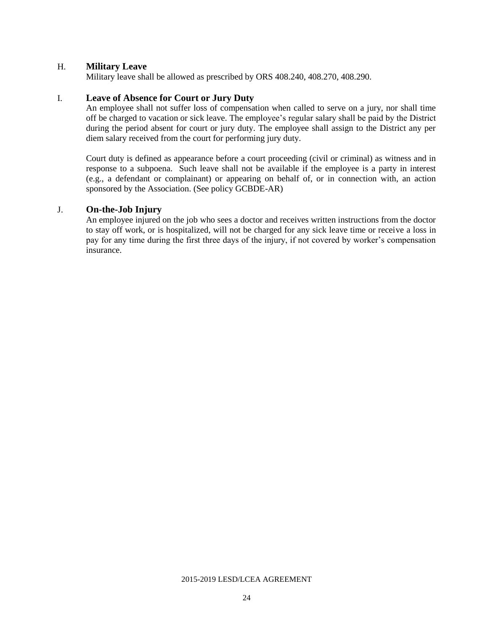#### H. **Military Leave**

Military leave shall be allowed as prescribed by ORS 408.240, 408.270, 408.290.

#### I. **Leave of Absence for Court or Jury Duty**

An employee shall not suffer loss of compensation when called to serve on a jury, nor shall time off be charged to vacation or sick leave. The employee's regular salary shall be paid by the District during the period absent for court or jury duty. The employee shall assign to the District any per diem salary received from the court for performing jury duty.

Court duty is defined as appearance before a court proceeding (civil or criminal) as witness and in response to a subpoena. Such leave shall not be available if the employee is a party in interest (e.g., a defendant or complainant) or appearing on behalf of, or in connection with, an action sponsored by the Association. (See policy GCBDE-AR)

#### J. **On-the-Job Injury**

An employee injured on the job who sees a doctor and receives written instructions from the doctor to stay off work, or is hospitalized, will not be charged for any sick leave time or receive a loss in pay for any time during the first three days of the injury, if not covered by worker's compensation insurance.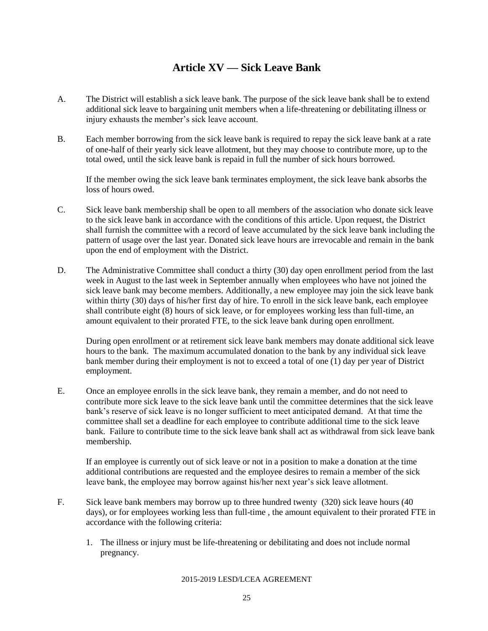# **Article XV — Sick Leave Bank**

- A. The District will establish a sick leave bank. The purpose of the sick leave bank shall be to extend additional sick leave to bargaining unit members when a life-threatening or debilitating illness or injury exhausts the member's sick leave account.
- B. Each member borrowing from the sick leave bank is required to repay the sick leave bank at a rate of one-half of their yearly sick leave allotment, but they may choose to contribute more, up to the total owed, until the sick leave bank is repaid in full the number of sick hours borrowed.

If the member owing the sick leave bank terminates employment, the sick leave bank absorbs the loss of hours owed.

- C. Sick leave bank membership shall be open to all members of the association who donate sick leave to the sick leave bank in accordance with the conditions of this article. Upon request, the District shall furnish the committee with a record of leave accumulated by the sick leave bank including the pattern of usage over the last year. Donated sick leave hours are irrevocable and remain in the bank upon the end of employment with the District.
- D. The Administrative Committee shall conduct a thirty (30) day open enrollment period from the last week in August to the last week in September annually when employees who have not joined the sick leave bank may become members. Additionally, a new employee may join the sick leave bank within thirty (30) days of his/her first day of hire. To enroll in the sick leave bank, each employee shall contribute eight (8) hours of sick leave, or for employees working less than full-time, an amount equivalent to their prorated FTE, to the sick leave bank during open enrollment.

During open enrollment or at retirement sick leave bank members may donate additional sick leave hours to the bank. The maximum accumulated donation to the bank by any individual sick leave bank member during their employment is not to exceed a total of one (1) day per year of District employment.

E. Once an employee enrolls in the sick leave bank, they remain a member, and do not need to contribute more sick leave to the sick leave bank until the committee determines that the sick leave bank's reserve of sick leave is no longer sufficient to meet anticipated demand. At that time the committee shall set a deadline for each employee to contribute additional time to the sick leave bank. Failure to contribute time to the sick leave bank shall act as withdrawal from sick leave bank membership.

If an employee is currently out of sick leave or not in a position to make a donation at the time additional contributions are requested and the employee desires to remain a member of the sick leave bank, the employee may borrow against his/her next year's sick leave allotment.

- F. Sick leave bank members may borrow up to three hundred twenty (320) sick leave hours (40 days), or for employees working less than full-time , the amount equivalent to their prorated FTE in accordance with the following criteria:
	- 1. The illness or injury must be life-threatening or debilitating and does not include normal pregnancy.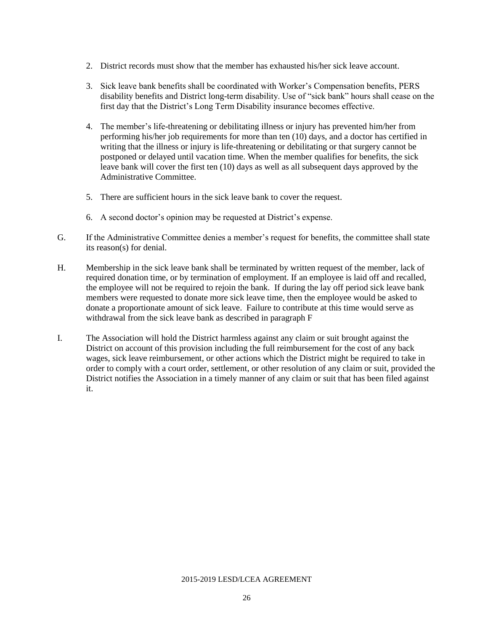- 2. District records must show that the member has exhausted his/her sick leave account.
- 3. Sick leave bank benefits shall be coordinated with Worker's Compensation benefits, PERS disability benefits and District long-term disability. Use of "sick bank" hours shall cease on the first day that the District's Long Term Disability insurance becomes effective.
- 4. The member's life-threatening or debilitating illness or injury has prevented him/her from performing his/her job requirements for more than ten (10) days, and a doctor has certified in writing that the illness or injury is life-threatening or debilitating or that surgery cannot be postponed or delayed until vacation time. When the member qualifies for benefits, the sick leave bank will cover the first ten (10) days as well as all subsequent days approved by the Administrative Committee.
- 5. There are sufficient hours in the sick leave bank to cover the request.
- 6. A second doctor's opinion may be requested at District's expense.
- G. If the Administrative Committee denies a member's request for benefits, the committee shall state its reason(s) for denial.
- H. Membership in the sick leave bank shall be terminated by written request of the member, lack of required donation time, or by termination of employment. If an employee is laid off and recalled, the employee will not be required to rejoin the bank. If during the lay off period sick leave bank members were requested to donate more sick leave time, then the employee would be asked to donate a proportionate amount of sick leave. Failure to contribute at this time would serve as withdrawal from the sick leave bank as described in paragraph F
- I. The Association will hold the District harmless against any claim or suit brought against the District on account of this provision including the full reimbursement for the cost of any back wages, sick leave reimbursement, or other actions which the District might be required to take in order to comply with a court order, settlement, or other resolution of any claim or suit, provided the District notifies the Association in a timely manner of any claim or suit that has been filed against it.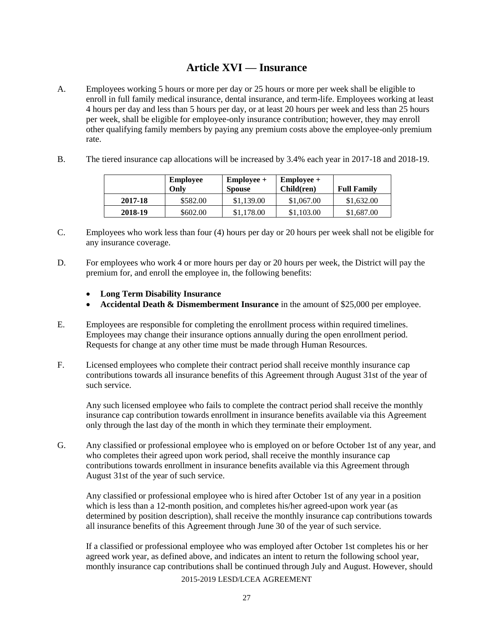# **Article XVI — Insurance**

- A. Employees working 5 hours or more per day or 25 hours or more per week shall be eligible to enroll in full family medical insurance, dental insurance, and term-life. Employees working at least 4 hours per day and less than 5 hours per day, or at least 20 hours per week and less than 25 hours per week, shall be eligible for employee-only insurance contribution; however, they may enroll other qualifying family members by paying any premium costs above the employee-only premium rate.
- B. The tiered insurance cap allocations will be increased by 3.4% each year in 2017-18 and 2018-19.

|         | <b>Employee</b><br>Onlv | $Employee +$<br><b>Spouse</b> | $Employee +$<br>Child(ren) | <b>Full Family</b> |  |
|---------|-------------------------|-------------------------------|----------------------------|--------------------|--|
| 2017-18 | \$582.00                | \$1,139.00                    | \$1,067.00                 | \$1,632.00         |  |
| 2018-19 | \$602.00                | \$1,178.00                    | \$1,103.00                 | \$1,687.00         |  |

- C. Employees who work less than four (4) hours per day or 20 hours per week shall not be eligible for any insurance coverage.
- D. For employees who work 4 or more hours per day or 20 hours per week, the District will pay the premium for, and enroll the employee in, the following benefits:
	- **Long Term Disability Insurance**
	- **Accidental Death & Dismemberment Insurance** in the amount of \$25,000 per employee.
- E. Employees are responsible for completing the enrollment process within required timelines. Employees may change their insurance options annually during the open enrollment period. Requests for change at any other time must be made through Human Resources.
- F. Licensed employees who complete their contract period shall receive monthly insurance cap contributions towards all insurance benefits of this Agreement through August 31st of the year of such service.

Any such licensed employee who fails to complete the contract period shall receive the monthly insurance cap contribution towards enrollment in insurance benefits available via this Agreement only through the last day of the month in which they terminate their employment.

G. Any classified or professional employee who is employed on or before October 1st of any year, and who completes their agreed upon work period, shall receive the monthly insurance cap contributions towards enrollment in insurance benefits available via this Agreement through August 31st of the year of such service.

Any classified or professional employee who is hired after October 1st of any year in a position which is less than a 12-month position, and completes his/her agreed-upon work year (as determined by position description), shall receive the monthly insurance cap contributions towards all insurance benefits of this Agreement through June 30 of the year of such service.

If a classified or professional employee who was employed after October 1st completes his or her agreed work year, as defined above, and indicates an intent to return the following school year, monthly insurance cap contributions shall be continued through July and August. However, should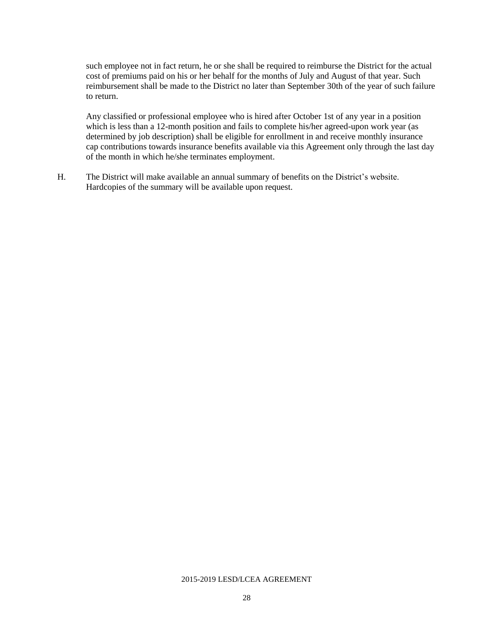such employee not in fact return, he or she shall be required to reimburse the District for the actual cost of premiums paid on his or her behalf for the months of July and August of that year. Such reimbursement shall be made to the District no later than September 30th of the year of such failure to return.

Any classified or professional employee who is hired after October 1st of any year in a position which is less than a 12-month position and fails to complete his/her agreed-upon work year (as determined by job description) shall be eligible for enrollment in and receive monthly insurance cap contributions towards insurance benefits available via this Agreement only through the last day of the month in which he/she terminates employment.

H. The District will make available an annual summary of benefits on the District's website. Hardcopies of the summary will be available upon request.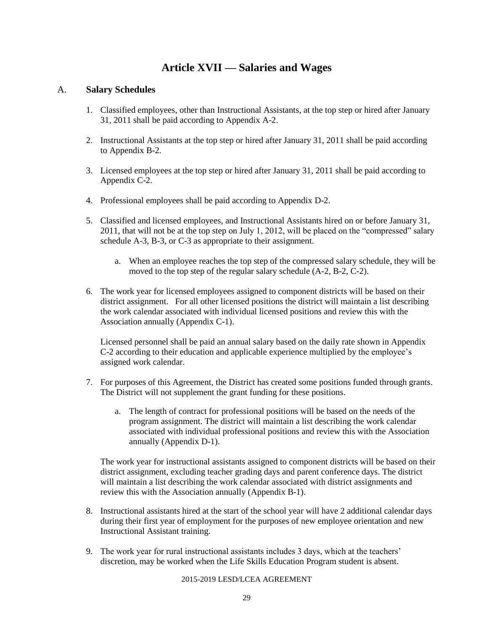### **Article XVII — Salaries and Wages**

#### A. **Salary Schedules**

- 1. Classified employees, other than Instructional Assistants, at the top step or hired after January 31, 2011 shall be paid according to Appendix A-2.
- 2. Instructional Assistants at the top step or hired after January 31, 2011 shall be paid according to Appendix B-2.
- 3. Licensed employees at the top step or hired after January 31, 2011 shall be paid according to Appendix C-2.
- 4. Professional employees shall be paid according to Appendix D-2.
- 5. Classified and licensed employees, and Instructional Assistants hired on or before January 31, 2011, that will not be at the top step on July 1, 2012, will be placed on the "compressed" salary schedule A-3, B-3, or C-3 as appropriate to their assignment.
	- a. When an employee reaches the top step of the compressed salary schedule, they will be moved to the top step of the regular salary schedule (A-2, B-2, C-2).
- 6. The work year for licensed employees assigned to component districts will be based on their district assignment. For all other licensed positions the district will maintain a list describing the work calendar associated with individual licensed positions and review this with the Association annually (Appendix C-1).

Licensed personnel shall be paid an annual salary based on the daily rate shown in Appendix C-2 according to their education and applicable experience multiplied by the employee's assigned work calendar.

- 7. For purposes of this Agreement, the District has created some positions funded through grants. The District will not supplement the grant funding for these positions.
	- a. The length of contract for professional positions will be based on the needs of the program assignment. The district will maintain a list describing the work calendar associated with individual professional positions and review this with the Association annually (Appendix D-1).

The work year for instructional assistants assigned to component districts will be based on their district assignment, excluding teacher grading days and parent conference days. The district will maintain a list describing the work calendar associated with district assignments and review this with the Association annually (Appendix B-1).

- 8. Instructional assistants hired at the start of the school year will have 2 additional calendar days during their first year of employment for the purposes of new employee orientation and new Instructional Assistant training.
- 9. The work year for rural instructional assistants includes 3 days, which at the teachers' discretion, may be worked when the Life Skills Education Program student is absent.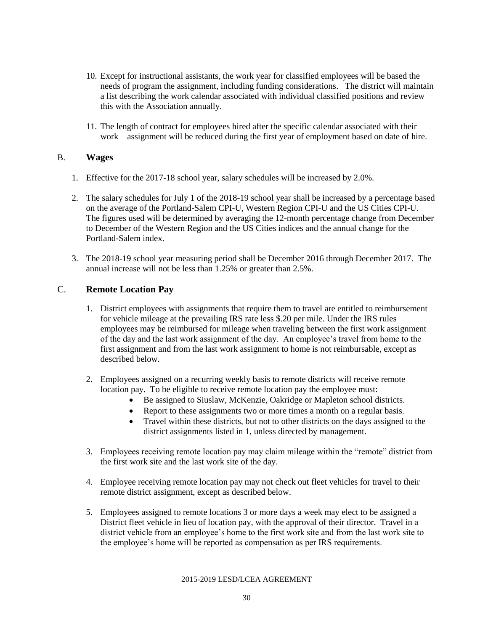- 10. Except for instructional assistants, the work year for classified employees will be based the needs of program the assignment, including funding considerations. The district will maintain a list describing the work calendar associated with individual classified positions and review this with the Association annually.
- 11. The length of contract for employees hired after the specific calendar associated with their work assignment will be reduced during the first year of employment based on date of hire.

#### B. **Wages**

- 1. Effective for the 2017-18 school year, salary schedules will be increased by 2.0%.
- 2. The salary schedules for July 1 of the 2018-19 school year shall be increased by a percentage based on the average of the Portland-Salem CPI-U, Western Region CPI-U and the US Cities CPI-U. The figures used will be determined by averaging the 12-month percentage change from December to December of the Western Region and the US Cities indices and the annual change for the Portland-Salem index.
- 3. The 2018-19 school year measuring period shall be December 2016 through December 2017. The annual increase will not be less than 1.25% or greater than 2.5%.

#### C. **Remote Location Pay**

- 1. District employees with assignments that require them to travel are entitled to reimbursement for vehicle mileage at the prevailing IRS rate less \$.20 per mile. Under the IRS rules employees may be reimbursed for mileage when traveling between the first work assignment of the day and the last work assignment of the day. An employee's travel from home to the first assignment and from the last work assignment to home is not reimbursable, except as described below.
- 2. Employees assigned on a recurring weekly basis to remote districts will receive remote location pay. To be eligible to receive remote location pay the employee must:
	- Be assigned to Siuslaw, McKenzie, Oakridge or Mapleton school districts.
	- Report to these assignments two or more times a month on a regular basis.
	- Travel within these districts, but not to other districts on the days assigned to the district assignments listed in 1, unless directed by management.
- 3. Employees receiving remote location pay may claim mileage within the "remote" district from the first work site and the last work site of the day.
- 4. Employee receiving remote location pay may not check out fleet vehicles for travel to their remote district assignment, except as described below.
- 5. Employees assigned to remote locations 3 or more days a week may elect to be assigned a District fleet vehicle in lieu of location pay, with the approval of their director. Travel in a district vehicle from an employee's home to the first work site and from the last work site to the employee's home will be reported as compensation as per IRS requirements.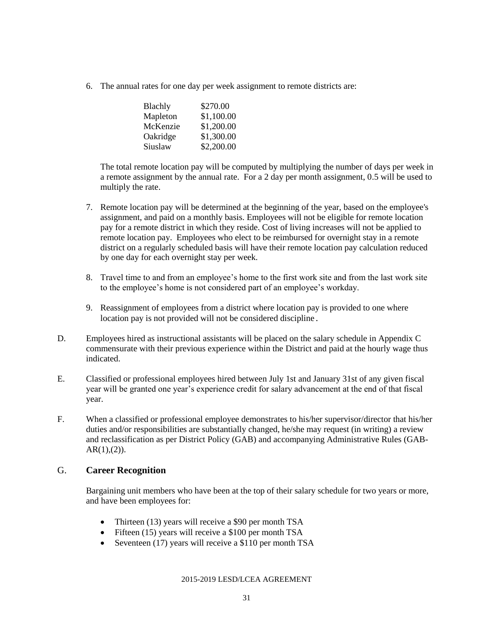6. The annual rates for one day per week assignment to remote districts are:

| Blachly  | \$270.00   |
|----------|------------|
| Mapleton | \$1,100.00 |
| McKenzie | \$1,200.00 |
| Oakridge | \$1,300.00 |
| Siuslaw  | \$2,200.00 |

The total remote location pay will be computed by multiplying the number of days per week in a remote assignment by the annual rate. For a 2 day per month assignment, 0.5 will be used to multiply the rate.

- 7. Remote location pay will be determined at the beginning of the year, based on the employee's assignment, and paid on a monthly basis. Employees will not be eligible for remote location pay for a remote district in which they reside. Cost of living increases will not be applied to remote location pay. Employees who elect to be reimbursed for overnight stay in a remote district on a regularly scheduled basis will have their remote location pay calculation reduced by one day for each overnight stay per week.
- 8. Travel time to and from an employee's home to the first work site and from the last work site to the employee's home is not considered part of an employee's workday.
- 9. Reassignment of employees from a district where location pay is provided to one where location pay is not provided will not be considered discipline.
- D. Employees hired as instructional assistants will be placed on the salary schedule in Appendix C commensurate with their previous experience within the District and paid at the hourly wage thus indicated.
- E. Classified or professional employees hired between July 1st and January 31st of any given fiscal year will be granted one year's experience credit for salary advancement at the end of that fiscal year.
- F. When a classified or professional employee demonstrates to his/her supervisor/director that his/her duties and/or responsibilities are substantially changed, he/she may request (in writing) a review and reclassification as per District Policy (GAB) and accompanying Administrative Rules (GAB- $AR(1),(2)$ ).

#### G. **Career Recognition**

Bargaining unit members who have been at the top of their salary schedule for two years or more, and have been employees for:

- Thirteen (13) years will receive a \$90 per month TSA
- Fifteen (15) years will receive a \$100 per month TSA
- Seventeen (17) years will receive a \$110 per month TSA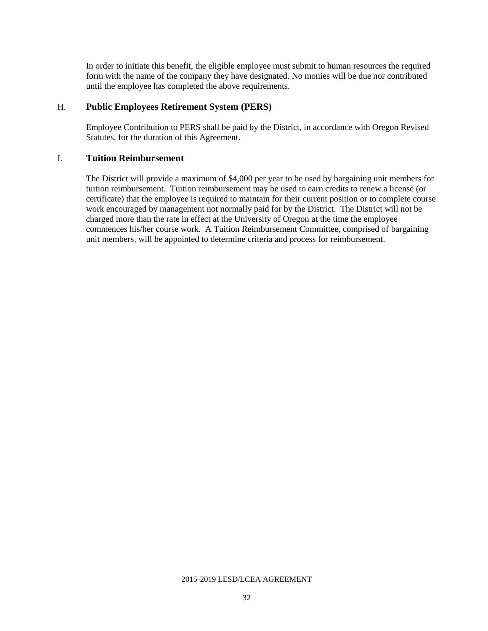In order to initiate this benefit, the eligible employee must submit to human resources the required form with the name of the company they have designated. No monies will be due nor contributed until the employee has completed the above requirements.

#### H. **Public Employees Retirement System (PERS)**

Employee Contribution to PERS shall be paid by the District, in accordance with Oregon Revised Statutes, for the duration of this Agreement.

#### I. **Tuition Reimbursement**

The District will provide a maximum of \$4,000 per year to be used by bargaining unit members for tuition reimbursement. Tuition reimbursement may be used to earn credits to renew a license (or certificate) that the employee is required to maintain for their current position or to complete course work encouraged by management not normally paid for by the District. The District will not be charged more than the rate in effect at the University of Oregon at the time the employee commences his/her course work. A Tuition Reimbursement Committee, comprised of bargaining unit members, will be appointed to determine criteria and process for reimbursement.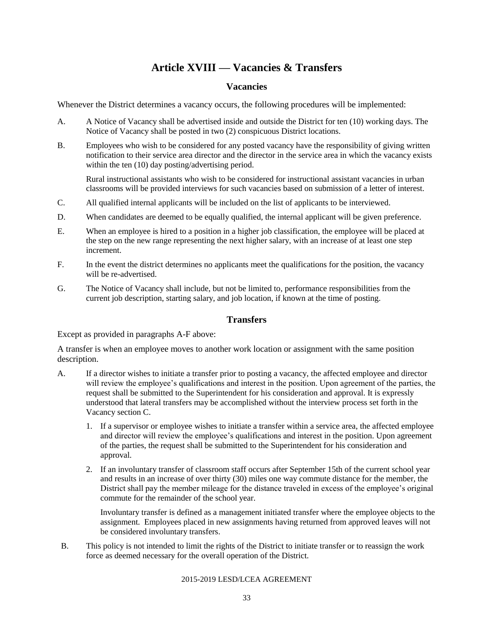# **Article XVIII — Vacancies & Transfers**

#### **Vacancies**

Whenever the District determines a vacancy occurs, the following procedures will be implemented:

- A. A Notice of Vacancy shall be advertised inside and outside the District for ten (10) working days. The Notice of Vacancy shall be posted in two (2) conspicuous District locations.
- B. Employees who wish to be considered for any posted vacancy have the responsibility of giving written notification to their service area director and the director in the service area in which the vacancy exists within the ten (10) day posting/advertising period.

Rural instructional assistants who wish to be considered for instructional assistant vacancies in urban classrooms will be provided interviews for such vacancies based on submission of a letter of interest.

- C. All qualified internal applicants will be included on the list of applicants to be interviewed.
- D. When candidates are deemed to be equally qualified, the internal applicant will be given preference.
- E. When an employee is hired to a position in a higher job classification, the employee will be placed at the step on the new range representing the next higher salary, with an increase of at least one step increment.
- F. In the event the district determines no applicants meet the qualifications for the position, the vacancy will be re-advertised.
- G. The Notice of Vacancy shall include, but not be limited to, performance responsibilities from the current job description, starting salary, and job location, if known at the time of posting.

#### **Transfers**

Except as provided in paragraphs A-F above:

A transfer is when an employee moves to another work location or assignment with the same position description.

- A. If a director wishes to initiate a transfer prior to posting a vacancy, the affected employee and director will review the employee's qualifications and interest in the position. Upon agreement of the parties, the request shall be submitted to the Superintendent for his consideration and approval. It is expressly understood that lateral transfers may be accomplished without the interview process set forth in the Vacancy section C.
	- 1. If a supervisor or employee wishes to initiate a transfer within a service area, the affected employee and director will review the employee's qualifications and interest in the position. Upon agreement of the parties, the request shall be submitted to the Superintendent for his consideration and approval.
	- 2. If an involuntary transfer of classroom staff occurs after September 15th of the current school year and results in an increase of over thirty (30) miles one way commute distance for the member, the District shall pay the member mileage for the distance traveled in excess of the employee's original commute for the remainder of the school year.

Involuntary transfer is defined as a management initiated transfer where the employee objects to the assignment. Employees placed in new assignments having returned from approved leaves will not be considered involuntary transfers.

B. This policy is not intended to limit the rights of the District to initiate transfer or to reassign the work force as deemed necessary for the overall operation of the District.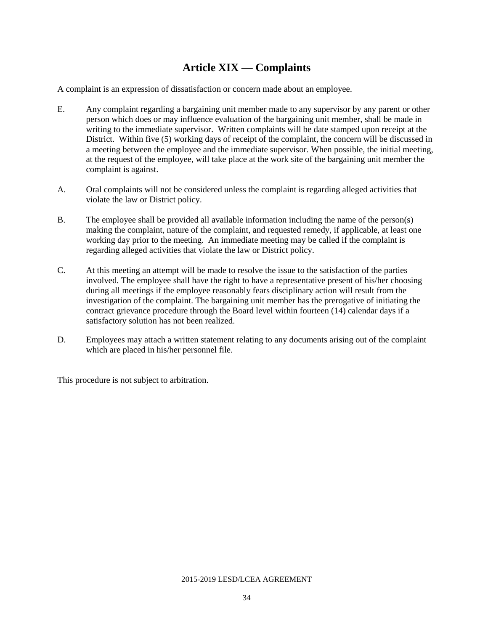# **Article XIX — Complaints**

A complaint is an expression of dissatisfaction or concern made about an employee.

- E. Any complaint regarding a bargaining unit member made to any supervisor by any parent or other person which does or may influence evaluation of the bargaining unit member, shall be made in writing to the immediate supervisor. Written complaints will be date stamped upon receipt at the District. Within five (5) working days of receipt of the complaint, the concern will be discussed in a meeting between the employee and the immediate supervisor. When possible, the initial meeting, at the request of the employee, will take place at the work site of the bargaining unit member the complaint is against.
- A. Oral complaints will not be considered unless the complaint is regarding alleged activities that violate the law or District policy.
- B. The employee shall be provided all available information including the name of the person(s) making the complaint, nature of the complaint, and requested remedy, if applicable, at least one working day prior to the meeting. An immediate meeting may be called if the complaint is regarding alleged activities that violate the law or District policy.
- C. At this meeting an attempt will be made to resolve the issue to the satisfaction of the parties involved. The employee shall have the right to have a representative present of his/her choosing during all meetings if the employee reasonably fears disciplinary action will result from the investigation of the complaint. The bargaining unit member has the prerogative of initiating the contract grievance procedure through the Board level within fourteen (14) calendar days if a satisfactory solution has not been realized.
- D. Employees may attach a written statement relating to any documents arising out of the complaint which are placed in his/her personnel file.

This procedure is not subject to arbitration.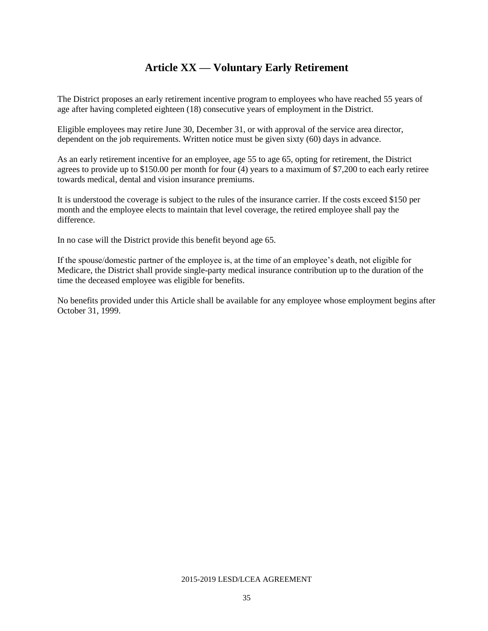# **Article XX — Voluntary Early Retirement**

The District proposes an early retirement incentive program to employees who have reached 55 years of age after having completed eighteen (18) consecutive years of employment in the District.

Eligible employees may retire June 30, December 31, or with approval of the service area director, dependent on the job requirements. Written notice must be given sixty (60) days in advance.

As an early retirement incentive for an employee, age 55 to age 65, opting for retirement, the District agrees to provide up to \$150.00 per month for four (4) years to a maximum of \$7,200 to each early retiree towards medical, dental and vision insurance premiums.

It is understood the coverage is subject to the rules of the insurance carrier. If the costs exceed \$150 per month and the employee elects to maintain that level coverage, the retired employee shall pay the difference.

In no case will the District provide this benefit beyond age 65.

If the spouse/domestic partner of the employee is, at the time of an employee's death, not eligible for Medicare, the District shall provide single-party medical insurance contribution up to the duration of the time the deceased employee was eligible for benefits.

No benefits provided under this Article shall be available for any employee whose employment begins after October 31, 1999.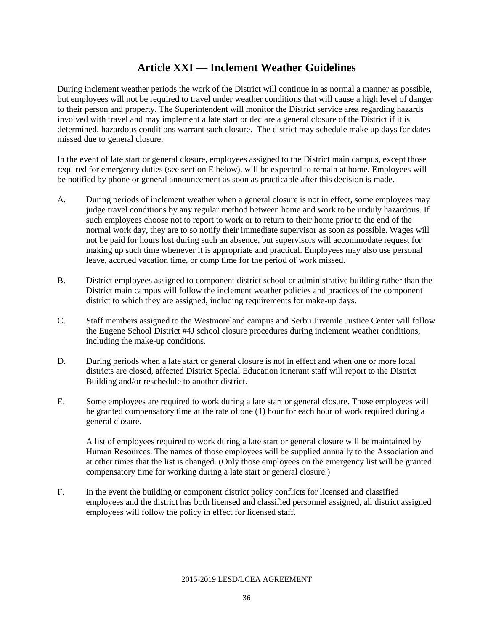# **Article XXI — Inclement Weather Guidelines**

During inclement weather periods the work of the District will continue in as normal a manner as possible, but employees will not be required to travel under weather conditions that will cause a high level of danger to their person and property. The Superintendent will monitor the District service area regarding hazards involved with travel and may implement a late start or declare a general closure of the District if it is determined, hazardous conditions warrant such closure. The district may schedule make up days for dates missed due to general closure.

In the event of late start or general closure, employees assigned to the District main campus, except those required for emergency duties (see section E below), will be expected to remain at home. Employees will be notified by phone or general announcement as soon as practicable after this decision is made.

- A. During periods of inclement weather when a general closure is not in effect, some employees may judge travel conditions by any regular method between home and work to be unduly hazardous. If such employees choose not to report to work or to return to their home prior to the end of the normal work day, they are to so notify their immediate supervisor as soon as possible. Wages will not be paid for hours lost during such an absence, but supervisors will accommodate request for making up such time whenever it is appropriate and practical. Employees may also use personal leave, accrued vacation time, or comp time for the period of work missed.
- B. District employees assigned to component district school or administrative building rather than the District main campus will follow the inclement weather policies and practices of the component district to which they are assigned, including requirements for make-up days.
- C. Staff members assigned to the Westmoreland campus and Serbu Juvenile Justice Center will follow the Eugene School District #4J school closure procedures during inclement weather conditions, including the make-up conditions.
- D. During periods when a late start or general closure is not in effect and when one or more local districts are closed, affected District Special Education itinerant staff will report to the District Building and/or reschedule to another district.
- E. Some employees are required to work during a late start or general closure. Those employees will be granted compensatory time at the rate of one (1) hour for each hour of work required during a general closure.

A list of employees required to work during a late start or general closure will be maintained by Human Resources. The names of those employees will be supplied annually to the Association and at other times that the list is changed. (Only those employees on the emergency list will be granted compensatory time for working during a late start or general closure.)

F. In the event the building or component district policy conflicts for licensed and classified employees and the district has both licensed and classified personnel assigned, all district assigned employees will follow the policy in effect for licensed staff.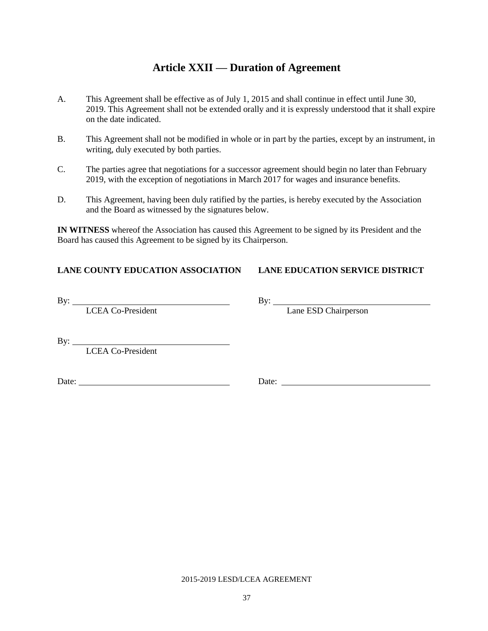# **Article XXII — Duration of Agreement**

- A. This Agreement shall be effective as of July 1, 2015 and shall continue in effect until June 30, 2019. This Agreement shall not be extended orally and it is expressly understood that it shall expire on the date indicated.
- B. This Agreement shall not be modified in whole or in part by the parties, except by an instrument, in writing, duly executed by both parties.
- C. The parties agree that negotiations for a successor agreement should begin no later than February 2019, with the exception of negotiations in March 2017 for wages and insurance benefits.
- D. This Agreement, having been duly ratified by the parties, is hereby executed by the Association and the Board as witnessed by the signatures below.

**IN WITNESS** whereof the Association has caused this Agreement to be signed by its President and the Board has caused this Agreement to be signed by its Chairperson.

#### **LANE COUNTY EDUCATION ASSOCIATION LANE EDUCATION SERVICE DISTRICT**

By: By:

LCEA Co-President Lane ESD Chairperson

By:

LCEA Co-President

Date: Date: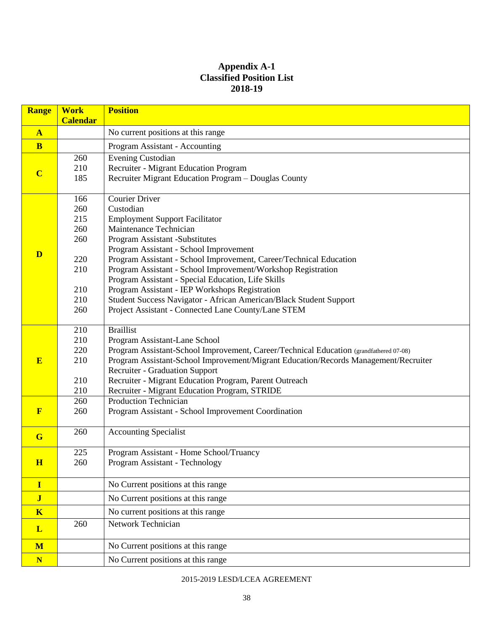#### **Appendix A-1 Classified Position List 2018-19**

| <b>Range</b>            | <b>Work</b><br><b>Calendar</b>                                     | <b>Position</b>                                                                                                                                                                                                                                                                                                                                                                                                                                                                                                                                              |
|-------------------------|--------------------------------------------------------------------|--------------------------------------------------------------------------------------------------------------------------------------------------------------------------------------------------------------------------------------------------------------------------------------------------------------------------------------------------------------------------------------------------------------------------------------------------------------------------------------------------------------------------------------------------------------|
| $\mathbf{A}$            |                                                                    | No current positions at this range                                                                                                                                                                                                                                                                                                                                                                                                                                                                                                                           |
| B                       |                                                                    | Program Assistant - Accounting                                                                                                                                                                                                                                                                                                                                                                                                                                                                                                                               |
| $\overline{\mathbf{C}}$ | 260<br>210<br>185                                                  | Evening Custodian<br><b>Recruiter - Migrant Education Program</b><br>Recruiter Migrant Education Program - Douglas County                                                                                                                                                                                                                                                                                                                                                                                                                                    |
| D                       | 166<br>260<br>215<br>260<br>260<br>220<br>210<br>210<br>210<br>260 | <b>Courier Driver</b><br>Custodian<br><b>Employment Support Facilitator</b><br>Maintenance Technician<br>Program Assistant -Substitutes<br>Program Assistant - School Improvement<br>Program Assistant - School Improvement, Career/Technical Education<br>Program Assistant - School Improvement/Workshop Registration<br>Program Assistant - Special Education, Life Skills<br>Program Assistant - IEP Workshops Registration<br>Student Success Navigator - African American/Black Student Support<br>Project Assistant - Connected Lane County/Lane STEM |
| E                       | 210<br>210<br>220<br>210<br>210<br>210                             | <b>Braillist</b><br>Program Assistant-Lane School<br>Program Assistant-School Improvement, Career/Technical Education (grandfathered 07-08)<br>Program Assistant-School Improvement/Migrant Education/Records Management/Recruiter<br><b>Recruiter - Graduation Support</b><br>Recruiter - Migrant Education Program, Parent Outreach<br>Recruiter - Migrant Education Program, STRIDE                                                                                                                                                                       |
| $\mathbf{F}$            | 260<br>260                                                         | Production Technician<br>Program Assistant - School Improvement Coordination                                                                                                                                                                                                                                                                                                                                                                                                                                                                                 |
| $\mathbf G$             | 260                                                                | <b>Accounting Specialist</b>                                                                                                                                                                                                                                                                                                                                                                                                                                                                                                                                 |
| H                       | 225<br>260                                                         | Program Assistant - Home School/Truancy<br>Program Assistant - Technology                                                                                                                                                                                                                                                                                                                                                                                                                                                                                    |
| I                       |                                                                    | No Current positions at this range                                                                                                                                                                                                                                                                                                                                                                                                                                                                                                                           |
| $\mathbf{J}$            |                                                                    | No Current positions at this range                                                                                                                                                                                                                                                                                                                                                                                                                                                                                                                           |
| $\overline{\mathbf{K}}$ |                                                                    | No current positions at this range                                                                                                                                                                                                                                                                                                                                                                                                                                                                                                                           |
| $\mathbf{L}$            | 260                                                                | Network Technician                                                                                                                                                                                                                                                                                                                                                                                                                                                                                                                                           |
| M                       |                                                                    | No Current positions at this range                                                                                                                                                                                                                                                                                                                                                                                                                                                                                                                           |
| $\mathbf N$             |                                                                    | No Current positions at this range                                                                                                                                                                                                                                                                                                                                                                                                                                                                                                                           |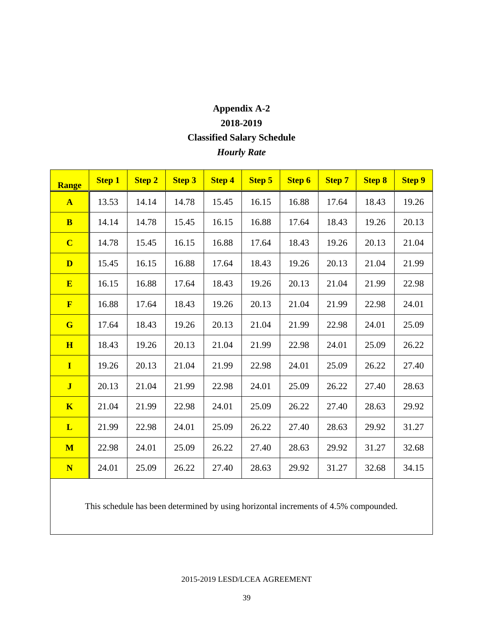# **Appendix A-2 2018-2019 Classified Salary Schedule** *Hourly Rate*

| <b>Range</b>            | <b>Step 1</b> | <b>Step 2</b> | <b>Step 3</b> | <b>Step 4</b> | <b>Step 5</b> | <b>Step 6</b> | <b>Step 7</b> | <b>Step 8</b> | <b>Step 9</b> |
|-------------------------|---------------|---------------|---------------|---------------|---------------|---------------|---------------|---------------|---------------|
| $\mathbf{A}$            | 13.53         | 14.14         | 14.78         | 15.45         | 16.15         | 16.88         | 17.64         | 18.43         | 19.26         |
| $\mathbf{B}$            | 14.14         | 14.78         | 15.45         | 16.15         | 16.88         | 17.64         | 18.43         | 19.26         | 20.13         |
| $\overline{\mathbf{C}}$ | 14.78         | 15.45         | 16.15         | 16.88         | 17.64         | 18.43         | 19.26         | 20.13         | 21.04         |
| D                       | 15.45         | 16.15         | 16.88         | 17.64         | 18.43         | 19.26         | 20.13         | 21.04         | 21.99         |
| E                       | 16.15         | 16.88         | 17.64         | 18.43         | 19.26         | 20.13         | 21.04         | 21.99         | 22.98         |
| $\mathbf{F}$            | 16.88         | 17.64         | 18.43         | 19.26         | 20.13         | 21.04         | 21.99         | 22.98         | 24.01         |
| $\overline{G}$          | 17.64         | 18.43         | 19.26         | 20.13         | 21.04         | 21.99         | 22.98         | 24.01         | 25.09         |
| H                       | 18.43         | 19.26         | 20.13         | 21.04         | 21.99         | 22.98         | 24.01         | 25.09         | 26.22         |
| $\mathbf{I}$            | 19.26         | 20.13         | 21.04         | 21.99         | 22.98         | 24.01         | 25.09         | 26.22         | 27.40         |
| $\mathbf{J}$            | 20.13         | 21.04         | 21.99         | 22.98         | 24.01         | 25.09         | 26.22         | 27.40         | 28.63         |
| $\overline{\mathbf{K}}$ | 21.04         | 21.99         | 22.98         | 24.01         | 25.09         | 26.22         | 27.40         | 28.63         | 29.92         |
| L                       | 21.99         | 22.98         | 24.01         | 25.09         | 26.22         | 27.40         | 28.63         | 29.92         | 31.27         |
| M                       | 22.98         | 24.01         | 25.09         | 26.22         | 27.40         | 28.63         | 29.92         | 31.27         | 32.68         |
| N                       | 24.01         | 25.09         | 26.22         | 27.40         | 28.63         | 29.92         | 31.27         | 32.68         | 34.15         |

This schedule has been determined by using horizontal increments of 4.5% compounded.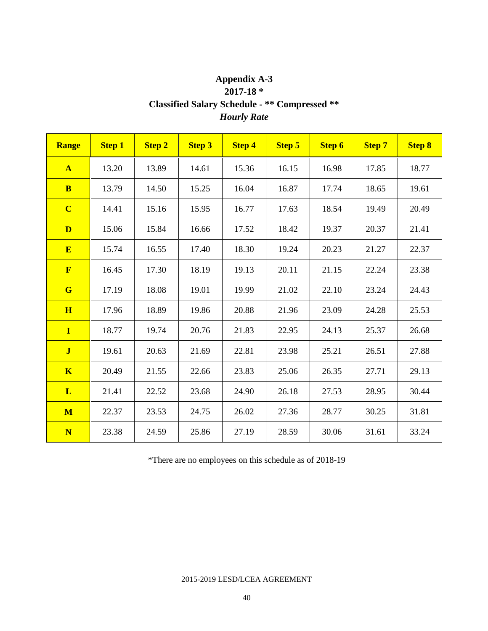### **Appendix A-3 2017-18 \* Classified Salary Schedule - \*\* Compressed \*\*** *Hourly Rate*

| <b>Range</b>            | <b>Step 1</b> | <b>Step 2</b> | <b>Step 3</b> | <b>Step 4</b> | <b>Step 5</b> | <b>Step 6</b> | <b>Step 7</b> | <b>Step 8</b> |
|-------------------------|---------------|---------------|---------------|---------------|---------------|---------------|---------------|---------------|
| $\mathbf{A}$            | 13.20         | 13.89         | 14.61         | 15.36         | 16.15         | 16.98         | 17.85         | 18.77         |
| <b>B</b>                | 13.79         | 14.50         | 15.25         | 16.04         | 16.87         | 17.74         | 18.65         | 19.61         |
| $\overline{\mathbf{C}}$ | 14.41         | 15.16         | 15.95         | 16.77         | 17.63         | 18.54         | 19.49         | 20.49         |
| D                       | 15.06         | 15.84         | 16.66         | 17.52         | 18.42         | 19.37         | 20.37         | 21.41         |
| E                       | 15.74         | 16.55         | 17.40         | 18.30         | 19.24         | 20.23         | 21.27         | 22.37         |
| $\mathbf{F}$            | 16.45         | 17.30         | 18.19         | 19.13         | 20.11         | 21.15         | 22.24         | 23.38         |
| G                       | 17.19         | 18.08         | 19.01         | 19.99         | 21.02         | 22.10         | 23.24         | 24.43         |
| H                       | 17.96         | 18.89         | 19.86         | 20.88         | 21.96         | 23.09         | 24.28         | 25.53         |
| $\mathbf{I}$            | 18.77         | 19.74         | 20.76         | 21.83         | 22.95         | 24.13         | 25.37         | 26.68         |
| $\mathbf{J}$            | 19.61         | 20.63         | 21.69         | 22.81         | 23.98         | 25.21         | 26.51         | 27.88         |
| $\mathbf K$             | 20.49         | 21.55         | 22.66         | 23.83         | 25.06         | 26.35         | 27.71         | 29.13         |
| L                       | 21.41         | 22.52         | 23.68         | 24.90         | 26.18         | 27.53         | 28.95         | 30.44         |
| M                       | 22.37         | 23.53         | 24.75         | 26.02         | 27.36         | 28.77         | 30.25         | 31.81         |
| N                       | 23.38         | 24.59         | 25.86         | 27.19         | 28.59         | 30.06         | 31.61         | 33.24         |

\*There are no employees on this schedule as of 2018-19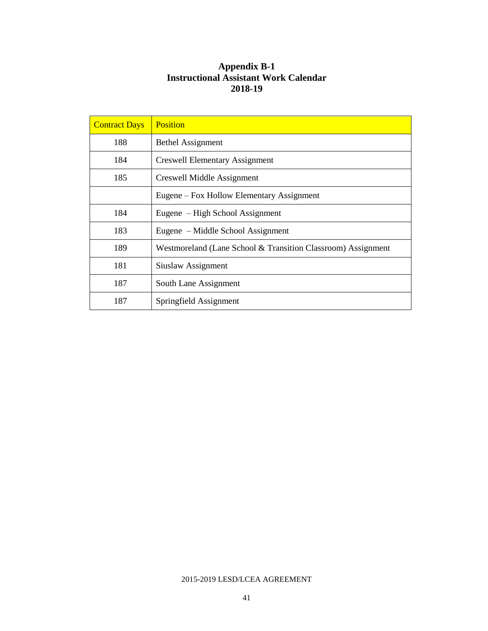#### **Appendix B-1 Instructional Assistant Work Calendar 2018-19**

| <b>Contract Days</b> | <b>Position</b>                                              |
|----------------------|--------------------------------------------------------------|
| 188                  | <b>Bethel Assignment</b>                                     |
| 184                  | <b>Creswell Elementary Assignment</b>                        |
| 185                  | Creswell Middle Assignment                                   |
|                      | Eugene – Fox Hollow Elementary Assignment                    |
| 184                  | Eugene – High School Assignment                              |
| 183                  | Eugene – Middle School Assignment                            |
| 189                  | Westmoreland (Lane School & Transition Classroom) Assignment |
| 181                  | Siuslaw Assignment                                           |
| 187                  | South Lane Assignment                                        |
| 187                  | Springfield Assignment                                       |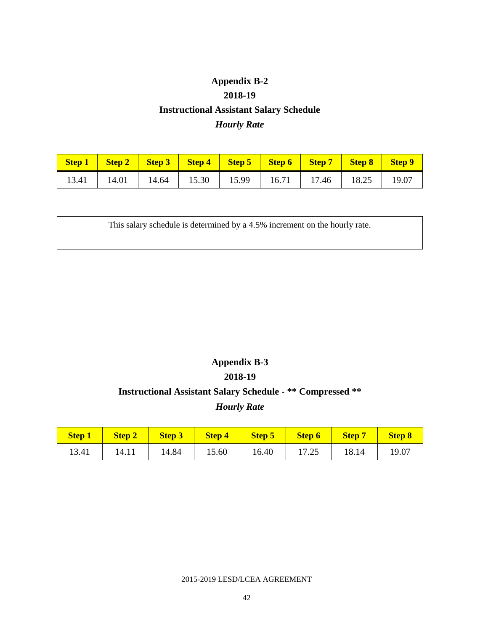# **Appendix B-2 2018-19 Instructional Assistant Salary Schedule** *Hourly Rate*

| Step 1   Step 2   Step 3   Step 4   Step 5   Step 6   Step 7   Step 8   Step 9 |  |  |  |  |
|--------------------------------------------------------------------------------|--|--|--|--|
| 13.41   14.01   14.64   15.30   15.99   16.71   17.46   18.25   19.07          |  |  |  |  |

This salary schedule is determined by a 4.5% increment on the hourly rate.

# **Appendix B-3 2018-19 Instructional Assistant Salary Schedule - \*\* Compressed \*\***

### *Hourly Rate*

| <b>Step 1</b> |       | Step 2   Step 3   Step 4   Step 5   Step 6   Step 7 |       |       |       |       | Step 8 |
|---------------|-------|-----------------------------------------------------|-------|-------|-------|-------|--------|
| 13.41         | 14.11 | 14.84                                               | 15.60 | 16.40 | 17.25 | 18.14 | 19.07  |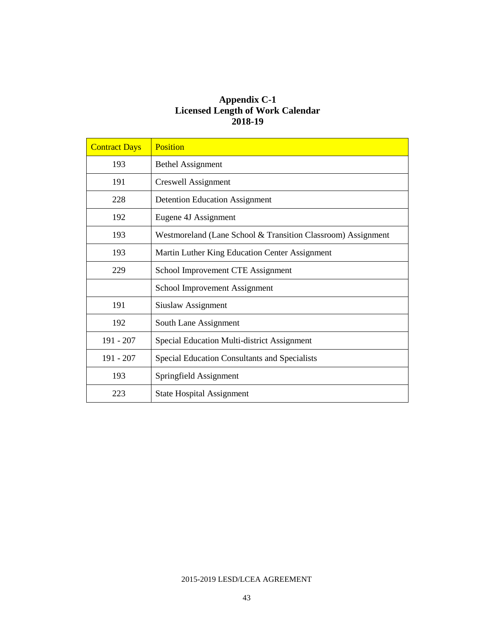#### **Appendix C-1 Licensed Length of Work Calendar 2018-19**

| <b>Contract Days</b> | <b>Position</b>                                              |
|----------------------|--------------------------------------------------------------|
| 193                  | <b>Bethel Assignment</b>                                     |
| 191                  | Creswell Assignment                                          |
| 228                  | <b>Detention Education Assignment</b>                        |
| 192                  | Eugene 4J Assignment                                         |
| 193                  | Westmoreland (Lane School & Transition Classroom) Assignment |
| 193                  | Martin Luther King Education Center Assignment               |
| 229                  | School Improvement CTE Assignment                            |
|                      | School Improvement Assignment                                |
| 191                  | Siuslaw Assignment                                           |
| 192                  | South Lane Assignment                                        |
| $191 - 207$          | Special Education Multi-district Assignment                  |
| $191 - 207$          | Special Education Consultants and Specialists                |
| 193                  | Springfield Assignment                                       |
| 223                  | <b>State Hospital Assignment</b>                             |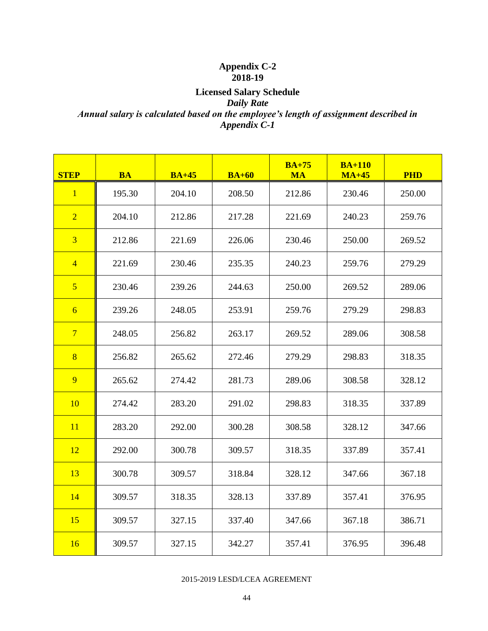#### **Appendix C-2 2018-19**

### **Licensed Salary Schedule** *Daily Rate Annual salary is calculated based on the employee's length of assignment described in Appendix C-1*

| <b>STEP</b>    | <b>BA</b> | $BA+45$ | $BA+60$ | $BA+75$<br><b>MA</b> | $BA+110$<br>$MA+45$ | <b>PHD</b> |
|----------------|-----------|---------|---------|----------------------|---------------------|------------|
| $\mathbf{1}$   | 195.30    | 204.10  | 208.50  | 212.86               | 230.46              | 250.00     |
| $\overline{2}$ | 204.10    | 212.86  | 217.28  | 221.69               | 240.23              | 259.76     |
| $\overline{3}$ | 212.86    | 221.69  | 226.06  | 230.46               | 250.00              | 269.52     |
| $\overline{4}$ | 221.69    | 230.46  | 235.35  | 240.23               | 259.76              | 279.29     |
| $\overline{5}$ | 230.46    | 239.26  | 244.63  | 250.00               | 269.52              | 289.06     |
| $6\overline{}$ | 239.26    | 248.05  | 253.91  | 259.76               | 279.29              | 298.83     |
| $\overline{7}$ | 248.05    | 256.82  | 263.17  | 269.52               | 289.06              | 308.58     |
| $\sqrt{8}$     | 256.82    | 265.62  | 272.46  | 279.29               | 298.83              | 318.35     |
| 9              | 265.62    | 274.42  | 281.73  | 289.06               | 308.58              | 328.12     |
| 10             | 274.42    | 283.20  | 291.02  | 298.83               | 318.35              | 337.89     |
| 11             | 283.20    | 292.00  | 300.28  | 308.58               | 328.12              | 347.66     |
| 12             | 292.00    | 300.78  | 309.57  | 318.35               | 337.89              | 357.41     |
| 13             | 300.78    | 309.57  | 318.84  | 328.12               | 347.66              | 367.18     |
| 14             | 309.57    | 318.35  | 328.13  | 337.89               | 357.41              | 376.95     |
| 15             | 309.57    | 327.15  | 337.40  | 347.66               | 367.18              | 386.71     |
| 16             | 309.57    | 327.15  | 342.27  | 357.41               | 376.95              | 396.48     |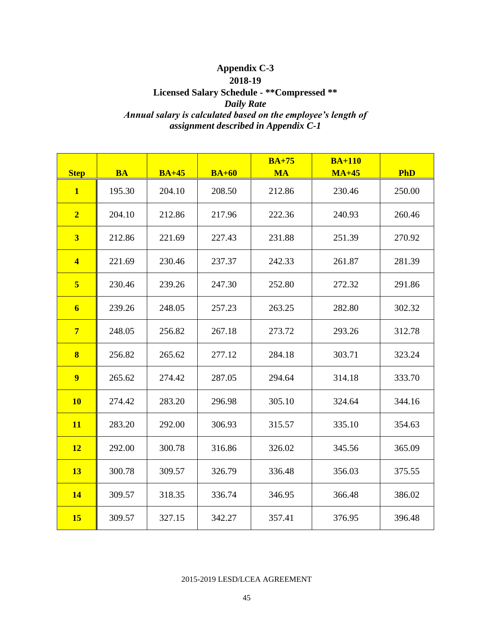### **Appendix C-3 2018-19 Licensed Salary Schedule - \*\*Compressed \*\*** *Daily Rate Annual salary is calculated based on the employee's length of assignment described in Appendix C-1*

| <b>Step</b>             | <b>BA</b> | $BA+45$ | $BA+60$ | $BA+75$<br><b>MA</b> | $BA+110$<br>$MA+45$ | <b>PhD</b> |
|-------------------------|-----------|---------|---------|----------------------|---------------------|------------|
| $\mathbf{1}$            | 195.30    | 204.10  | 208.50  | 212.86               | 230.46              | 250.00     |
| $\overline{2}$          | 204.10    | 212.86  | 217.96  | 222.36               | 240.93              | 260.46     |
| $\overline{\mathbf{3}}$ | 212.86    | 221.69  | 227.43  | 231.88               | 251.39              | 270.92     |
| $\overline{\mathbf{4}}$ | 221.69    | 230.46  | 237.37  | 242.33               | 261.87              | 281.39     |
| $5\overline{)}$         | 230.46    | 239.26  | 247.30  | 252.80               | 272.32              | 291.86     |
| $\boldsymbol{6}$        | 239.26    | 248.05  | 257.23  | 263.25               | 282.80              | 302.32     |
| $7\phantom{.}$          | 248.05    | 256.82  | 267.18  | 273.72               | 293.26              | 312.78     |
| $\bf{8}$                | 256.82    | 265.62  | 277.12  | 284.18               | 303.71              | 323.24     |
| $\overline{9}$          | 265.62    | 274.42  | 287.05  | 294.64               | 314.18              | 333.70     |
| <b>10</b>               | 274.42    | 283.20  | 296.98  | 305.10               | 324.64              | 344.16     |
| <b>11</b>               | 283.20    | 292.00  | 306.93  | 315.57               | 335.10              | 354.63     |
| <b>12</b>               | 292.00    | 300.78  | 316.86  | 326.02               | 345.56              | 365.09     |
| 13                      | 300.78    | 309.57  | 326.79  | 336.48               | 356.03              | 375.55     |
| <b>14</b>               | 309.57    | 318.35  | 336.74  | 346.95               | 366.48              | 386.02     |
| <b>15</b>               | 309.57    | 327.15  | 342.27  | 357.41               | 376.95              | 396.48     |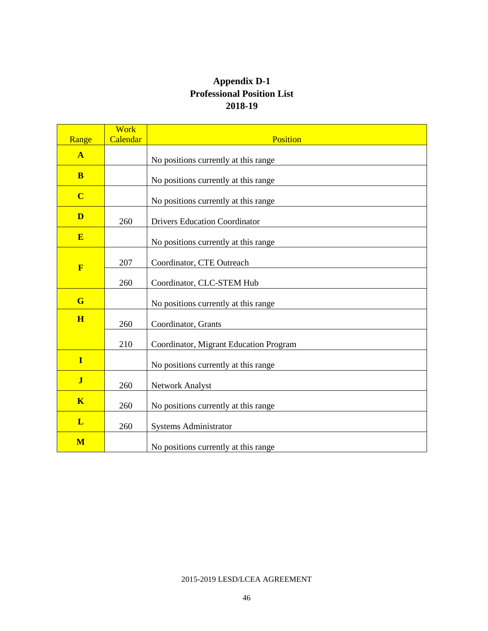### **Appendix D-1 Professional Position List 2018-19**

| Range                   | <b>Work</b><br>Calendar | <b>Position</b>                        |  |  |  |
|-------------------------|-------------------------|----------------------------------------|--|--|--|
| $\mathbf{A}$            |                         |                                        |  |  |  |
|                         |                         | No positions currently at this range   |  |  |  |
| B                       |                         | No positions currently at this range   |  |  |  |
| $\overline{\mathbf{C}}$ |                         | No positions currently at this range   |  |  |  |
| D                       | 260                     | <b>Drivers Education Coordinator</b>   |  |  |  |
| E                       |                         | No positions currently at this range   |  |  |  |
| $\mathbf{F}$            | 207                     | Coordinator, CTE Outreach              |  |  |  |
|                         | 260                     | Coordinator, CLC-STEM Hub              |  |  |  |
| G                       |                         | No positions currently at this range   |  |  |  |
| H                       | 260                     | Coordinator, Grants                    |  |  |  |
|                         | 210                     | Coordinator, Migrant Education Program |  |  |  |
| $\mathbf I$             |                         | No positions currently at this range   |  |  |  |
| $\overline{\mathbf{J}}$ | 260                     | Network Analyst                        |  |  |  |
| $\overline{\mathbf{K}}$ | 260                     | No positions currently at this range   |  |  |  |
| L                       | 260                     | <b>Systems Administrator</b>           |  |  |  |
| M                       |                         | No positions currently at this range   |  |  |  |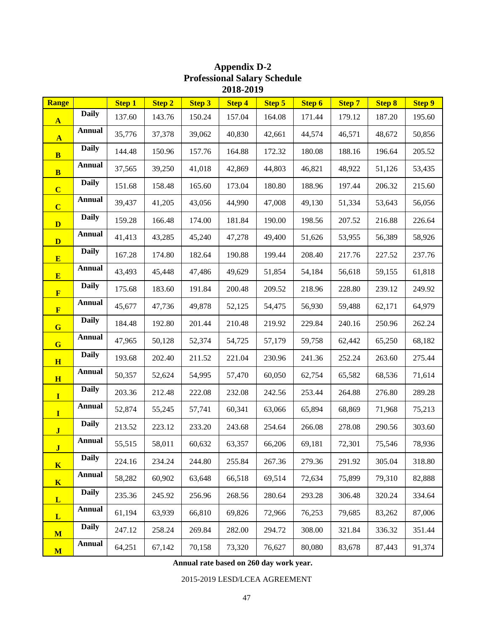| <b>Range</b>            |               | <b>Step 1</b> | <b>Step 2</b> | <b>Step 3</b> | <b>Step 4</b> | <b>Step 5</b> | <b>Step 6</b> | <b>Step 7</b> | <b>Step 8</b> | <b>Step 9</b> |
|-------------------------|---------------|---------------|---------------|---------------|---------------|---------------|---------------|---------------|---------------|---------------|
| $\mathbf{A}$            | <b>Daily</b>  | 137.60        | 143.76        | 150.24        | 157.04        | 164.08        | 171.44        | 179.12        | 187.20        | 195.60        |
| $\mathbf{A}$            | <b>Annual</b> | 35,776        | 37,378        | 39,062        | 40,830        | 42,661        | 44,574        | 46,571        | 48,672        | 50,856        |
| $\mathbf{B}$            | <b>Daily</b>  | 144.48        | 150.96        | 157.76        | 164.88        | 172.32        | 180.08        | 188.16        | 196.64        | 205.52        |
| $\bf{B}$                | <b>Annual</b> | 37,565        | 39,250        | 41,018        | 42,869        | 44,803        | 46,821        | 48,922        | 51,126        | 53,435        |
| $\overline{\mathbf{C}}$ | <b>Daily</b>  | 151.68        | 158.48        | 165.60        | 173.04        | 180.80        | 188.96        | 197.44        | 206.32        | 215.60        |
| $\overline{\mathbf{C}}$ | <b>Annual</b> | 39,437        | 41,205        | 43,056        | 44,990        | 47,008        | 49,130        | 51,334        | 53,643        | 56,056        |
| $\mathbf{D}$            | <b>Daily</b>  | 159.28        | 166.48        | 174.00        | 181.84        | 190.00        | 198.56        | 207.52        | 216.88        | 226.64        |
| D                       | <b>Annual</b> | 41,413        | 43,285        | 45,240        | 47,278        | 49,400        | 51,626        | 53,955        | 56,389        | 58,926        |
| E                       | <b>Daily</b>  | 167.28        | 174.80        | 182.64        | 190.88        | 199.44        | 208.40        | 217.76        | 227.52        | 237.76        |
| E                       | <b>Annual</b> | 43,493        | 45,448        | 47,486        | 49,629        | 51,854        | 54,184        | 56,618        | 59,155        | 61,818        |
| $\mathbf{F}$            | <b>Daily</b>  | 175.68        | 183.60        | 191.84        | 200.48        | 209.52        | 218.96        | 228.80        | 239.12        | 249.92        |
| $\mathbf{F}$            | <b>Annual</b> | 45,677        | 47,736        | 49,878        | 52,125        | 54,475        | 56,930        | 59,488        | 62,171        | 64,979        |
| $\mathbf G$             | <b>Daily</b>  | 184.48        | 192.80        | 201.44        | 210.48        | 219.92        | 229.84        | 240.16        | 250.96        | 262.24        |
| $\mathbf G$             | <b>Annual</b> | 47,965        | 50,128        | 52,374        | 54,725        | 57,179        | 59,758        | 62,442        | 65,250        | 68,182        |
| H                       | <b>Daily</b>  | 193.68        | 202.40        | 211.52        | 221.04        | 230.96        | 241.36        | 252.24        | 263.60        | 275.44        |
| H                       | <b>Annual</b> | 50,357        | 52,624        | 54,995        | 57,470        | 60,050        | 62,754        | 65,582        | 68,536        | 71,614        |
| $\mathbf{I}$            | <b>Daily</b>  | 203.36        | 212.48        | 222.08        | 232.08        | 242.56        | 253.44        | 264.88        | 276.80        | 289.28        |
| $\mathbf{I}$            | <b>Annual</b> | 52,874        | 55,245        | 57,741        | 60,341        | 63,066        | 65,894        | 68,869        | 71,968        | 75,213        |
| $\mathbf{J}$            | <b>Daily</b>  | 213.52        | 223.12        | 233.20        | 243.68        | 254.64        | 266.08        | 278.08        | 290.56        | 303.60        |
| $\mathbf{J}$            | <b>Annual</b> | 55,515        | 58,011        | 60,632        | 63,357        | 66,206        | 69,181        | 72,301        | 75,546        | 78,936        |
| $\mathbf K$             | <b>Daily</b>  | 224.16        | 234.24        | 244.80        | 255.84        | 267.36        | 279.36        | 291.92        | 305.04        | 318.80        |
| $\mathbf{K}$            | <b>Annual</b> | 58,282        | 60,902        | 63,648        | 66,518        | 69,514        | 72,634        | 75,899        | 79,310        | 82,888        |
| $\mathbf{L}$            | <b>Daily</b>  | 235.36        | 245.92        | 256.96        | 268.56        | 280.64        | 293.28        | 306.48        | 320.24        | 334.64        |
| $\mathbf{L}$            | <b>Annual</b> | 61,194        | 63,939        | 66,810        | 69,826        | 72,966        | 76,253        | 79,685        | 83,262        | 87,006        |
| M                       | <b>Daily</b>  | 247.12        | 258.24        | 269.84        | 282.00        | 294.72        | 308.00        | 321.84        | 336.32        | 351.44        |
| $\mathbf{M}$            | Annual        | 64,251        | 67,142        | 70,158        | 73,320        | 76,627        | 80,080        | 83,678        | 87,443        | 91,374        |

### **Appendix D-2 Professional Salary Schedule 2018-2019**

**Annual rate based on 260 day work year.**